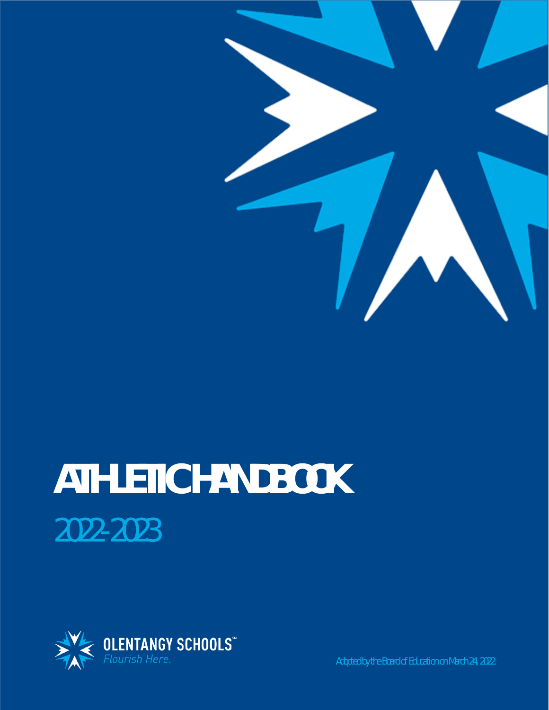

# **ATHLETIC HANDBOOK** 2022-2023

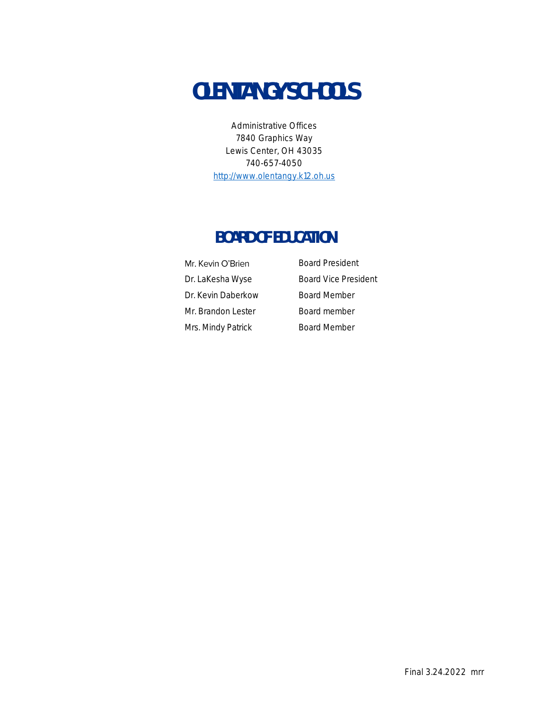# **OLENTANGY SCHOOLS**

Administrative Offices 7840 Graphics Way Lewis Center, OH 43035 740-657-4050 [http://www.olentangy.k12.oh.us](http://www.olentangy.k12.oh.us/)

# **BOARD OF EDUCATION**

| Mr. Kevin O'Brien  |
|--------------------|
| Dr. LaKesha Wyse   |
| Dr. Kevin Daberkow |
| Mr. Brandon Lester |
| Mrs. Mindy Patrick |

Board President Board Vice President Board Member Board member dy Patrick **Board Member**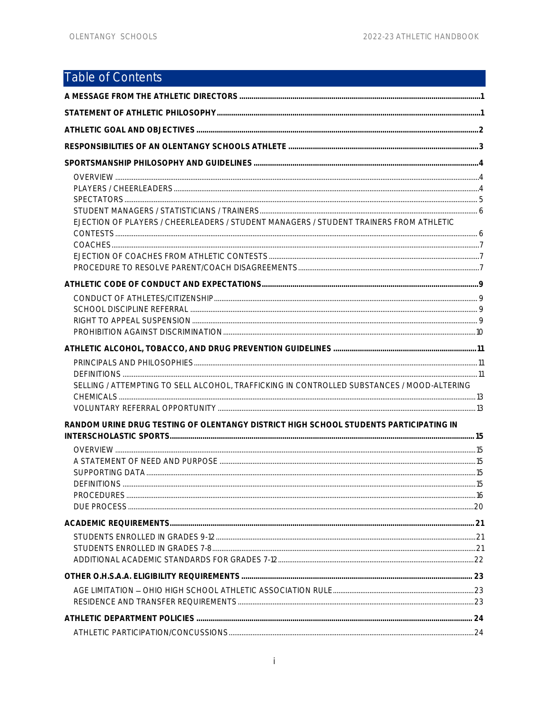# <span id="page-2-0"></span>Table of Contents

| EJECTION OF PLAYERS / CHEERLEADERS / STUDENT MANAGERS / STUDENT TRAINERS FROM ATHLETIC     |  |
|--------------------------------------------------------------------------------------------|--|
|                                                                                            |  |
|                                                                                            |  |
|                                                                                            |  |
|                                                                                            |  |
|                                                                                            |  |
| SELLING / ATTEMPTING TO SELL ALCOHOL, TRAFFICKING IN CONTROLLED SUBSTANCES / MOOD-ALTERING |  |
| RANDOM URINE DRUG TESTING OF OLENTANGY DISTRICT HIGH SCHOOL STUDENTS PARTICIPATING IN      |  |
| <b>DEFINITIONS</b>                                                                         |  |
|                                                                                            |  |
|                                                                                            |  |
|                                                                                            |  |
|                                                                                            |  |
|                                                                                            |  |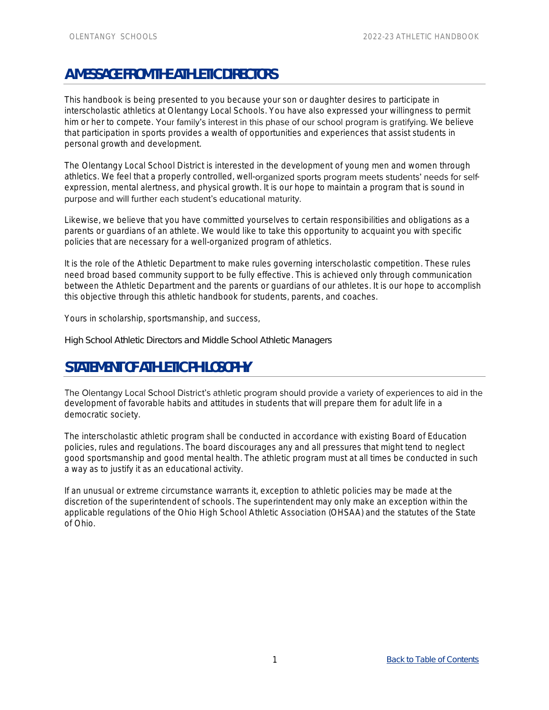# <span id="page-4-0"></span>**A MESSAGE FROM THE ATHLETIC DIRECTORS**

This handbook is being presented to you because your son or daughter desires to participate in interscholastic athletics at Olentangy Local Schools. You have also expressed your willingness to permit him or her to compete. Your family's interest in this phase of our school program is gratifying. We believe that participation in sports provides a wealth of opportunities and experiences that assist students in personal growth and development.

The Olentangy Local School District is interested in the development of young men and women through athletics. We feel that a properly controlled, well-organized sports program meets students' needs for selfexpression, mental alertness, and physical growth. It is our hope to maintain a program that is sound in purpose and will further each student's educational maturity.

Likewise, we believe that you have committed yourselves to certain responsibilities and obligations as a parents or guardians of an athlete. We would like to take this opportunity to acquaint you with specific policies that are necessary for a well-organized program of athletics.

It is the role of the Athletic Department to make rules governing interscholastic competition. These rules need broad based community support to be fully effective. This is achieved only through communication between the Athletic Department and the parents or guardians of our athletes. It is our hope to accomplish this objective through this athletic handbook for students, parents, and coaches.

Yours in scholarship, sportsmanship, and success,

High School Athletic Directors and Middle School Athletic Managers

# <span id="page-4-1"></span>STATEMENT OF ATHLETIC PHILOSOPHY

The Olentangy Local School District's athletic program should provide a variety of experiences to aid in the development of favorable habits and attitudes in students that will prepare them for adult life in a democratic society.

The interscholastic athletic program shall be conducted in accordance with existing Board of Education policies, rules and regulations. The board discourages any and all pressures that might tend to neglect good sportsmanship and good mental health. The athletic program must at all times be conducted in such a way as to justify it as an educational activity.

If an unusual or extreme circumstance warrants it, exception to athletic policies may be made at the discretion of the superintendent of schools. The superintendent may only make an exception within the applicable regulations of the Ohio High School Athletic Association (OHSAA) and the statutes of the State of Ohio.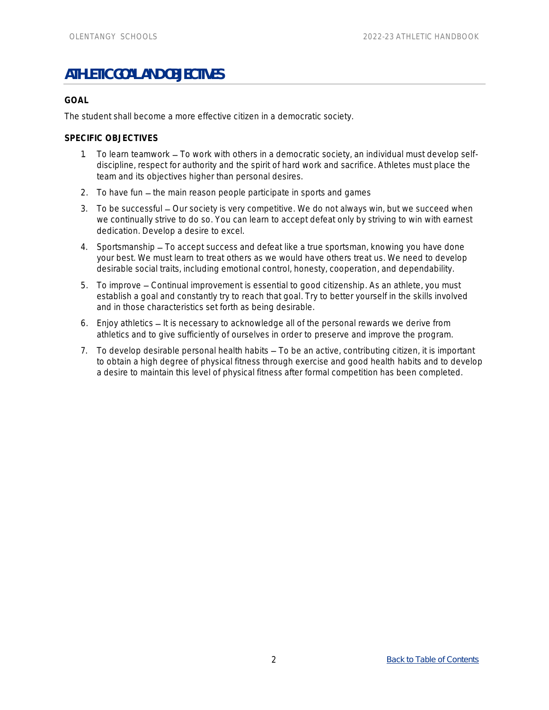# <span id="page-5-0"></span>**ATHLETIC GOAL AND OBJECTIVES**

#### **GOAL**

The student shall become a more effective citizen in a democratic society.

#### **SPECIFIC OBJECTIVES**

- 1. To learn teamwork To work with others in a democratic society, an individual must develop selfdiscipline, respect for authority and the spirit of hard work and sacrifice. Athletes must place the team and its objectives higher than personal desires.
- 2. To have fun the main reason people participate in sports and games
- 3. To be successful Our society is very competitive. We do not always win, but we succeed when we continually strive to do so. You can learn to accept defeat only by striving to win with earnest dedication. Develop a desire to excel.
- 4. Sportsmanship To accept success and defeat like a true sportsman, knowing you have done your best. We must learn to treat others as we would have others treat us. We need to develop desirable social traits, including emotional control, honesty, cooperation, and dependability.
- 5. To improve Continual improvement is essential to good citizenship. As an athlete, you must establish a goal and constantly try to reach that goal. Try to better yourself in the skills involved and in those characteristics set forth as being desirable.
- 6. Enjoy athletics It is necessary to acknowledge all of the personal rewards we derive from athletics and to give sufficiently of ourselves in order to preserve and improve the program.
- 7. To develop desirable personal health habits To be an active, contributing citizen, it is important to obtain a high degree of physical fitness through exercise and good health habits and to develop a desire to maintain this level of physical fitness after formal competition has been completed.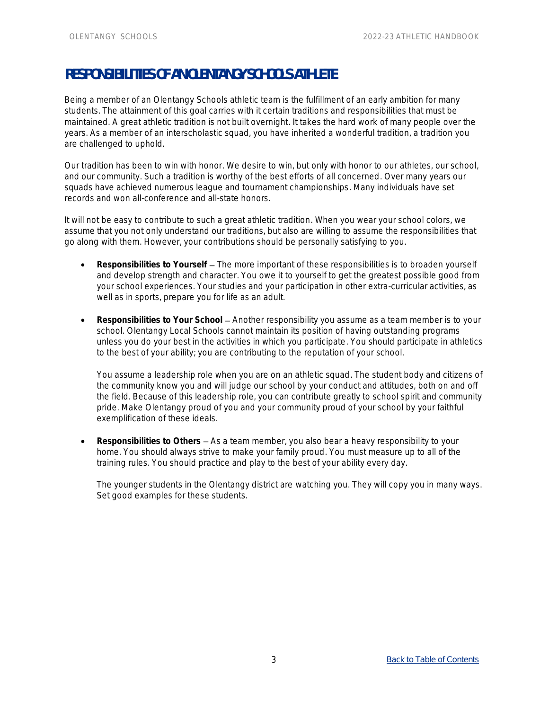# <span id="page-6-0"></span>**RESPONSIBILITIES OF AN OLENTANGY SCHOOLS ATHLETE**

Being a member of an Olentangy Schools athletic team is the fulfillment of an early ambition for many students. The attainment of this goal carries with it certain traditions and responsibilities that must be maintained. A great athletic tradition is not built overnight. It takes the hard work of many people over the years. As a member of an interscholastic squad, you have inherited a wonderful tradition, a tradition you are challenged to uphold.

Our tradition has been to win with honor. We desire to win, but only with honor to our athletes, our school, and our community. Such a tradition is worthy of the best efforts of all concerned. Over many years our squads have achieved numerous league and tournament championships. Many individuals have set records and won all-conference and all-state honors.

It will not be easy to contribute to such a great athletic tradition. When you wear your school colors, we assume that you not only understand our traditions, but also are willing to assume the responsibilities that go along with them. However, your contributions should be personally satisfying to you.

- Responsibilities to Yourself The more important of these responsibilities is to broaden yourself and develop strength and character. You owe it to yourself to get the greatest possible good from your school experiences. Your studies and your participation in other extra-curricular activities, as well as in sports, prepare you for life as an adult.
- Responsibilities to Your School Another responsibility you assume as a team member is to your school. Olentangy Local Schools cannot maintain its position of having outstanding programs unless you do your best in the activities in which you participate. You should participate in athletics to the best of your ability; you are contributing to the reputation of your school.

You assume a leadership role when you are on an athletic squad. The student body and citizens of the community know you and will judge our school by your conduct and attitudes, both on and off the field. Because of this leadership role, you can contribute greatly to school spirit and community pride. Make Olentangy proud of you and your community proud of your school by your faithful exemplification of these ideals.

Responsibilities to Others – As a team member, you also bear a heavy responsibility to your home. You should always strive to make your family proud. You must measure up to all of the training rules. You should practice and play to the best of your ability every day.

The younger students in the Olentangy district are watching you. They will copy you in many ways. Set good examples for these students.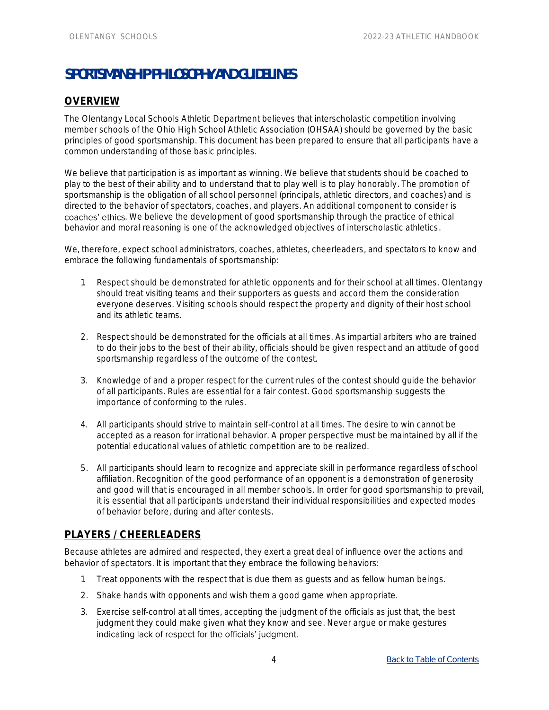# <span id="page-7-0"></span>**SPORTSMANSHIP PHILOSOPHY AND GUIDELINES**

# <span id="page-7-1"></span>**OVERVIEW**

The Olentangy Local Schools Athletic Department believes that interscholastic competition involving member schools of the Ohio High School Athletic Association (OHSAA) should be governed by the basic principles of good sportsmanship. This document has been prepared to ensure that all participants have a common understanding of those basic principles.

We believe that participation is as important as winning. We believe that students should be coached to play to the best of their ability and to understand that to play well is to play honorably. The promotion of sportsmanship is the obligation of all school personnel (principals, athletic directors, and coaches) and is directed to the behavior of spectators, coaches, and players. An additional component to consider is coaches' ethics. We believe the development of good sportsmanship through the practice of ethical behavior and moral reasoning is one of the acknowledged objectives of interscholastic athletics.

We, therefore, expect school administrators, coaches, athletes, cheerleaders, and spectators to know and embrace the following fundamentals of sportsmanship:

- 1. Respect should be demonstrated for athletic opponents and for their school at all times. Olentangy should treat visiting teams and their supporters as guests and accord them the consideration everyone deserves. Visiting schools should respect the property and dignity of their host school and its athletic teams.
- 2. Respect should be demonstrated for the officials at all times. As impartial arbiters who are trained to do their jobs to the best of their ability, officials should be given respect and an attitude of good sportsmanship regardless of the outcome of the contest.
- 3. Knowledge of and a proper respect for the current rules of the contest should guide the behavior of all participants. Rules are essential for a fair contest. Good sportsmanship suggests the importance of conforming to the rules.
- 4. All participants should strive to maintain self-control at all times. The desire to win cannot be accepted as a reason for irrational behavior. A proper perspective must be maintained by all if the potential educational values of athletic competition are to be realized.
- 5. All participants should learn to recognize and appreciate skill in performance regardless of school affiliation. Recognition of the good performance of an opponent is a demonstration of generosity and good will that is encouraged in all member schools. In order for good sportsmanship to prevail, it is essential that all participants understand their individual responsibilities and expected modes of behavior before, during and after contests.

#### <span id="page-7-2"></span>**PLAYERS / CHEERLEADERS**

Because athletes are admired and respected, they exert a great deal of influence over the actions and behavior of spectators. It is important that they embrace the following behaviors:

- 1. Treat opponents with the respect that is due them as guests and as fellow human beings.
- 2. Shake hands with opponents and wish them a good game when appropriate.
- 3. Exercise self-control at all times, accepting the judgment of the officials as just that, the best judgment they could make given what they know and see. Never argue or make gestures indicating lack of respect for the officials' judgment.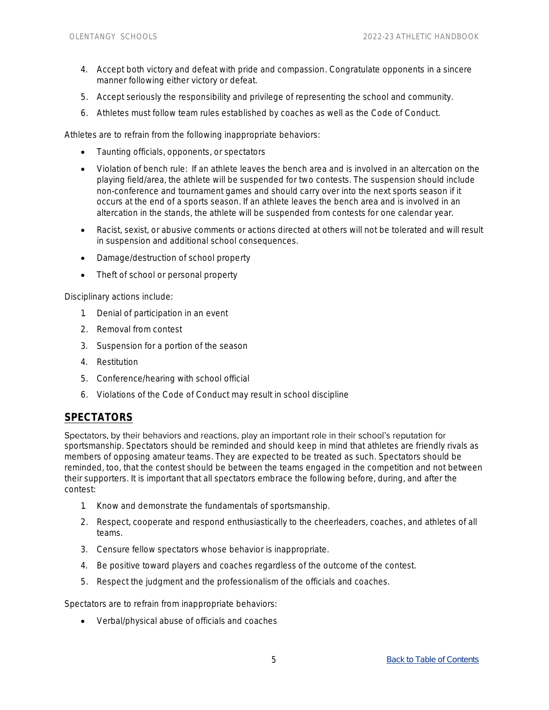- 4. Accept both victory and defeat with pride and compassion. Congratulate opponents in a sincere manner following either victory or defeat.
- 5. Accept seriously the responsibility and privilege of representing the school and community.
- 6. Athletes must follow team rules established by coaches as well as the Code of Conduct.

Athletes are to refrain from the following inappropriate behaviors:

- Taunting officials, opponents, or spectators
- Violation of bench rule: If an athlete leaves the bench area and is involved in an altercation on the playing field/area, the athlete will be suspended for two contests. The suspension should include non-conference and tournament games and should carry over into the next sports season if it occurs at the end of a sports season. If an athlete leaves the bench area and is involved in an altercation in the stands, the athlete will be suspended from contests for one calendar year.
- Racist, sexist, or abusive comments or actions directed at others will not be tolerated and will result in suspension and additional school consequences.
- Damage/destruction of school property
- Theft of school or personal property

Disciplinary actions include:

- 1. Denial of participation in an event
- 2. Removal from contest
- 3. Suspension for a portion of the season
- 4. Restitution
- 5. Conference/hearing with school official
- 6. Violations of the Code of Conduct may result in school discipline

#### <span id="page-8-0"></span>**SPECTATORS**

Spectators, by their behaviors and reactions, play an important role in their school's reputation for sportsmanship. Spectators should be reminded and should keep in mind that athletes are friendly rivals as members of opposing amateur teams. They are expected to be treated as such. Spectators should be reminded, too, that the contest should be between the teams engaged in the competition and not between their supporters. It is important that all spectators embrace the following before, during, and after the contest:

- 1. Know and demonstrate the fundamentals of sportsmanship.
- 2. Respect, cooperate and respond enthusiastically to the cheerleaders, coaches, and athletes of all teams.
- 3. Censure fellow spectators whose behavior is inappropriate.
- 4. Be positive toward players and coaches regardless of the outcome of the contest.
- 5. Respect the judgment and the professionalism of the officials and coaches.

Spectators are to refrain from inappropriate behaviors:

• Verbal/physical abuse of officials and coaches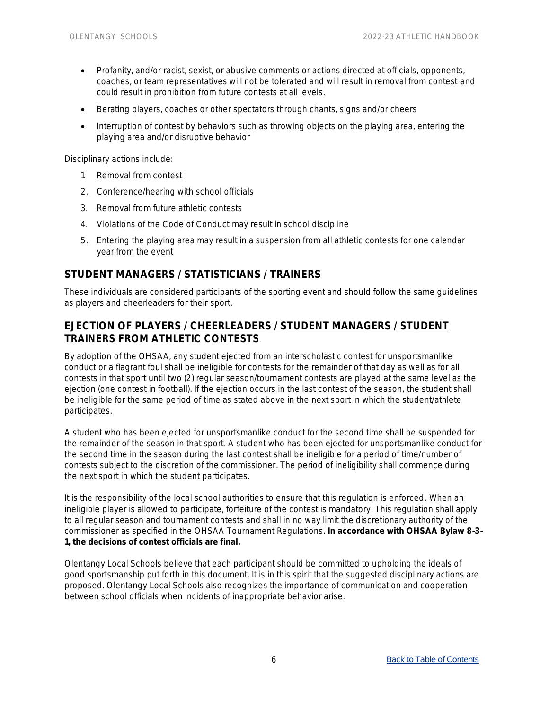- Profanity, and/or racist, sexist, or abusive comments or actions directed at officials, opponents, coaches, or team representatives will not be tolerated and will result in removal from contest and could result in prohibition from future contests at all levels.
- Berating players, coaches or other spectators through chants, signs and/or cheers
- Interruption of contest by behaviors such as throwing objects on the playing area, entering the playing area and/or disruptive behavior

Disciplinary actions include:

- 1. Removal from contest
- 2. Conference/hearing with school officials
- 3. Removal from future athletic contests
- 4. Violations of the Code of Conduct may result in school discipline
- 5. Entering the playing area may result in a suspension from all athletic contests for one calendar year from the event

#### <span id="page-9-0"></span>**STUDENT MANAGERS / STATISTICIANS / TRAINERS**

These individuals are considered participants of the sporting event and should follow the same guidelines as players and cheerleaders for their sport.

## <span id="page-9-1"></span>**EJECTION OF PLAYERS / CHEERLEADERS / STUDENT MANAGERS / STUDENT TRAINERS FROM ATHLETIC CONTESTS**

By adoption of the OHSAA, any student ejected from an interscholastic contest for unsportsmanlike conduct or a flagrant foul shall be ineligible for contests for the remainder of that day as well as for all contests in that sport until two (2) regular season/tournament contests are played at the same level as the ejection (one contest in football). If the ejection occurs in the last contest of the season, the student shall be ineligible for the same period of time as stated above in the next sport in which the student/athlete participates.

A student who has been ejected for unsportsmanlike conduct for the second time shall be suspended for the remainder of the season in that sport. A student who has been ejected for unsportsmanlike conduct for the second time in the season during the last contest shall be ineligible for a period of time/number of contests subject to the discretion of the commissioner. The period of ineligibility shall commence during the next sport in which the student participates.

It is the responsibility of the local school authorities to ensure that this regulation is enforced. When an ineligible player is allowed to participate, forfeiture of the contest is mandatory. This regulation shall apply to all regular season and tournament contests and shall in no way limit the discretionary authority of the commissioner as specified in the OHSAA Tournament Regulations. **In accordance with OHSAA Bylaw 8-3- 1, the decisions of contest officials are final.**

Olentangy Local Schools believe that each participant should be committed to upholding the ideals of good sportsmanship put forth in this document. It is in this spirit that the suggested disciplinary actions are proposed. Olentangy Local Schools also recognizes the importance of communication and cooperation between school officials when incidents of inappropriate behavior arise.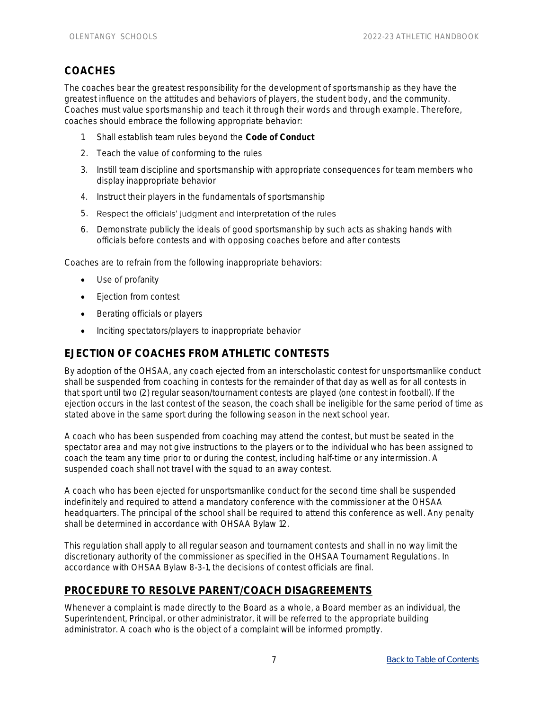# <span id="page-10-0"></span>**COACHES**

The coaches bear the greatest responsibility for the development of sportsmanship as they have the greatest influence on the attitudes and behaviors of players, the student body, and the community. Coaches must value sportsmanship and teach it through their words and through example. Therefore, coaches should embrace the following appropriate behavior:

- 1. Shall establish team rules beyond the **Code of Conduct**
- 2. Teach the value of conforming to the rules
- 3. Instill team discipline and sportsmanship with appropriate consequences for team members who display inappropriate behavior
- 4. Instruct their players in the fundamentals of sportsmanship
- 5. Respect the officials' judgment and interpretation of the rules
- 6. Demonstrate publicly the ideals of good sportsmanship by such acts as shaking hands with officials before contests and with opposing coaches before and after contests

Coaches are to refrain from the following inappropriate behaviors:

- Use of profanity
- Ejection from contest
- Berating officials or players
- Inciting spectators/players to inappropriate behavior

## <span id="page-10-1"></span>**EJECTION OF COACHES FROM ATHLETIC CONTESTS**

By adoption of the OHSAA, any coach ejected from an interscholastic contest for unsportsmanlike conduct shall be suspended from coaching in contests for the remainder of that day as well as for all contests in that sport until two (2) regular season/tournament contests are played (one contest in football). If the ejection occurs in the last contest of the season, the coach shall be ineligible for the same period of time as stated above in the same sport during the following season in the next school year.

A coach who has been suspended from coaching may attend the contest, but must be seated in the spectator area and may not give instructions to the players or to the individual who has been assigned to coach the team any time prior to or during the contest, including half-time or any intermission. A suspended coach shall not travel with the squad to an away contest.

A coach who has been ejected for unsportsmanlike conduct for the second time shall be suspended indefinitely and required to attend a mandatory conference with the commissioner at the OHSAA headquarters. The principal of the school shall be required to attend this conference as well. Any penalty shall be determined in accordance with OHSAA Bylaw 12.

This regulation shall apply to all regular season and tournament contests and shall in no way limit the discretionary authority of the commissioner as specified in the OHSAA Tournament Regulations. In accordance with OHSAA Bylaw 8-3-1, the decisions of contest officials are final.

#### <span id="page-10-2"></span>**PROCEDURE TO RESOLVE PARENT/COACH DISAGREEMENTS**

Whenever a complaint is made directly to the Board as a whole, a Board member as an individual, the Superintendent, Principal, or other administrator, it will be referred to the appropriate building administrator. A coach who is the object of a complaint will be informed promptly.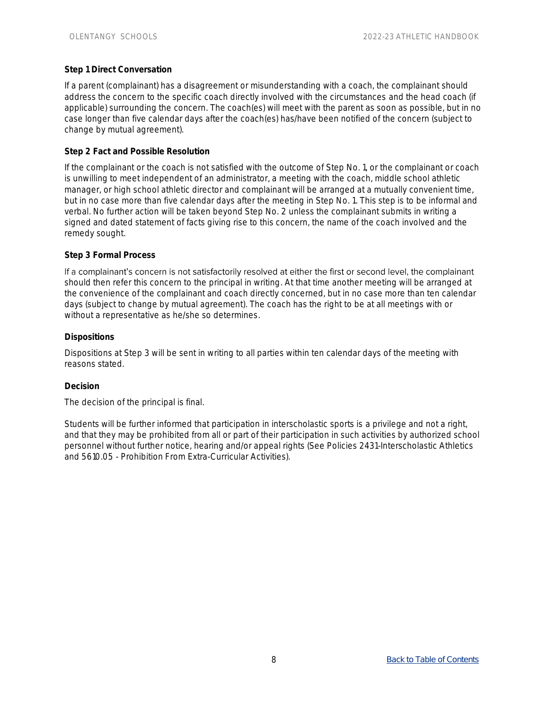#### **Step 1 Direct Conversation**

If a parent (complainant) has a disagreement or misunderstanding with a coach, the complainant should address the concern to the specific coach directly involved with the circumstances and the head coach (if applicable) surrounding the concern. The coach(es) will meet with the parent as soon as possible, but in no case longer than five calendar days after the coach(es) has/have been notified of the concern (subject to change by mutual agreement).

#### **Step 2 Fact and Possible Resolution**

If the complainant or the coach is not satisfied with the outcome of Step No. 1, or the complainant or coach is unwilling to meet independent of an administrator, a meeting with the coach, middle school athletic manager, or high school athletic director and complainant will be arranged at a mutually convenient time, but in no case more than five calendar days after the meeting in Step No. 1. This step is to be informal and verbal. No further action will be taken beyond Step No. 2 unless the complainant submits in writing a signed and dated statement of facts giving rise to this concern, the name of the coach involved and the remedy sought.

#### **Step 3 Formal Process**

If a complainant's concern is not satisfactorily resolved at either the first or second level, the complainant should then refer this concern to the principal in writing. At that time another meeting will be arranged at the convenience of the complainant and coach directly concerned, but in no case more than ten calendar days (subject to change by mutual agreement). The coach has the right to be at all meetings with or without a representative as he/she so determines.

#### **Dispositions**

Dispositions at Step 3 will be sent in writing to all parties within ten calendar days of the meeting with reasons stated.

#### **Decision**

The decision of the principal is final.

Students will be further informed that participation in interscholastic sports is a privilege and not a right, and that they may be prohibited from all or part of their participation in such activities by authorized school personnel without further notice, hearing and/or appeal rights (See Policies 2431-Interscholastic Athletics and 5610.05 - Prohibition From Extra-Curricular Activities).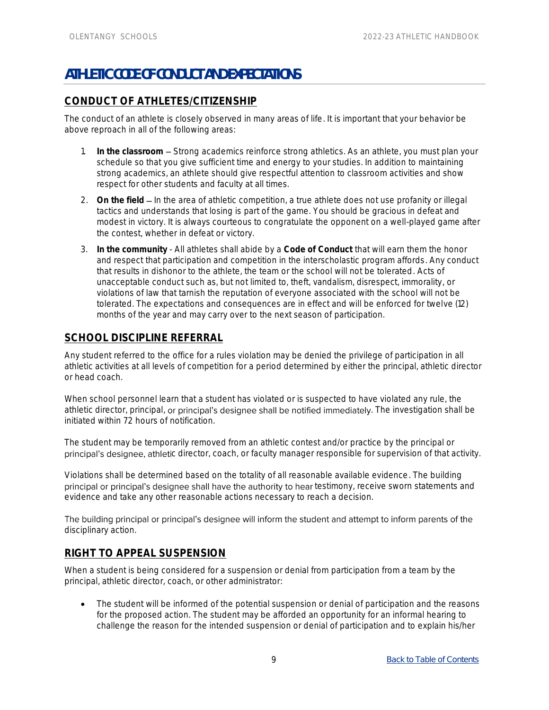# <span id="page-12-0"></span>**ATHLETIC CODE OF CONDUCT AND EXPECTATIONS**

# <span id="page-12-1"></span>**CONDUCT OF ATHLETES/CITIZENSHIP**

The conduct of an athlete is closely observed in many areas of life. It is important that your behavior be above reproach in all of the following areas:

- 1. In the classroom Strong academics reinforce strong athletics. As an athlete, you must plan your schedule so that you give sufficient time and energy to your studies. In addition to maintaining strong academics, an athlete should give respectful attention to classroom activities and show respect for other students and faculty at all times.
- 2. On the field In the area of athletic competition, a true athlete does not use profanity or illegal tactics and understands that losing is part of the game. You should be gracious in defeat and modest in victory. It is always courteous to congratulate the opponent on a well-played game after the contest, whether in defeat or victory.
- 3. **In the community** All athletes shall abide by a **Code of Conduct** that will earn them the honor and respect that participation and competition in the interscholastic program affords. Any conduct that results in dishonor to the athlete, the team or the school will not be tolerated. Acts of unacceptable conduct such as, but not limited to, theft, vandalism, disrespect, immorality, or violations of law that tarnish the reputation of everyone associated with the school will not be tolerated. The expectations and consequences are in effect and will be enforced for twelve (12) months of the year and may carry over to the next season of participation.

# <span id="page-12-2"></span>**SCHOOL DISCIPLINE REFERRAL**

Any student referred to the office for a rules violation may be denied the privilege of participation in all athletic activities at all levels of competition for a period determined by either the principal, athletic director or head coach.

When school personnel learn that a student has violated or is suspected to have violated any rule, the athletic director, principal, or principal's designee shall be notified immediately. The investigation shall be initiated within 72 hours of notification.

The student may be temporarily removed from an athletic contest and/or practice by the principal or principal's designee, athletic director, coach, or faculty manager responsible for supervision of that activity.

Violations shall be determined based on the totality of all reasonable available evidence. The building principal or principal's designee shall have the authority to hear testimony, receive sworn statements and evidence and take any other reasonable actions necessary to reach a decision.

The building principal or principal's designee will inform the student and attempt to inform parents of the disciplinary action.

## <span id="page-12-3"></span>**RIGHT TO APPEAL SUSPENSION**

When a student is being considered for a suspension or denial from participation from a team by the principal, athletic director, coach, or other administrator:

The student will be informed of the potential suspension or denial of participation and the reasons for the proposed action. The student may be afforded an opportunity for an informal hearing to challenge the reason for the intended suspension or denial of participation and to explain his/her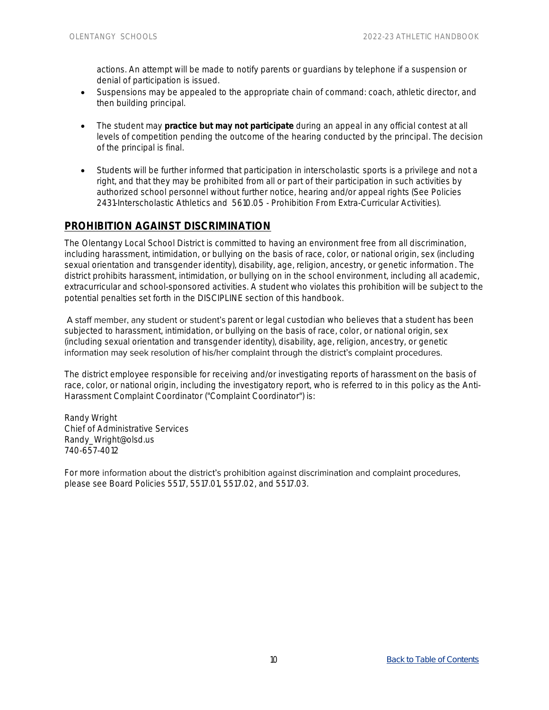actions. An attempt will be made to notify parents or guardians by telephone if a suspension or denial of participation is issued.

- Suspensions may be appealed to the appropriate chain of command: coach, athletic director, and then building principal.
- The student may **practice but may not participate** during an appeal in any official contest at all levels of competition pending the outcome of the hearing conducted by the principal. The decision of the principal is final.
- Students will be further informed that participation in interscholastic sports is a privilege and not a right, and that they may be prohibited from all or part of their participation in such activities by authorized school personnel without further notice, hearing and/or appeal rights (See Policies 2431-Interscholastic Athletics and 5610.05 - Prohibition From Extra-Curricular Activities).

## <span id="page-13-0"></span>**PROHIBITION AGAINST DISCRIMINATION**

The Olentangy Local School District is committed to having an environment free from all discrimination, including harassment, intimidation, or bullying on the basis of race, color, or national origin, sex (including sexual orientation and transgender identity), disability, age, religion, ancestry, or genetic information. The district prohibits harassment, intimidation, or bullying on in the school environment, including all academic, extracurricular and school-sponsored activities. A student who violates this prohibition will be subject to the potential penalties set forth in the DISCIPLINE section of this handbook.

A staff member, any student or student's parent or legal custodian who believes that a student has been subjected to harassment, intimidation, or bullying on the basis of race, color, or national origin, sex (including sexual orientation and transgender identity), disability, age, religion, ancestry, or genetic information may seek resolution of his/her complaint through the district's complaint procedures.

The district employee responsible for receiving and/or investigating reports of harassment on the basis of race, color, or national origin, including the investigatory report, who is referred to in this policy as the Anti-Harassment Complaint Coordinator ("Complaint Coordinator") is:

Randy Wright Chief of Administrative Services Randy\_Wright@olsd.us 740-657-4012

For more information about the district's prohibition against discrimination and complaint procedures, please see Board Policies 5517, 5517.01, 5517.02, and 5517.03.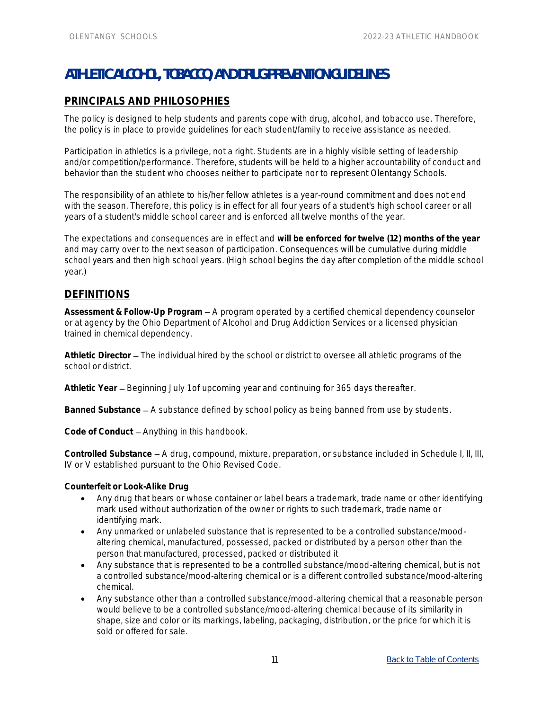# <span id="page-14-0"></span>**ATHLETIC ALCOHOL, TOBACCO, AND DRUG PREVENTION GUIDELINES**

# <span id="page-14-1"></span>**PRINCIPALS AND PHILOSOPHIES**

The policy is designed to help students and parents cope with drug, alcohol, and tobacco use. Therefore, the policy is in place to provide guidelines for each student/family to receive assistance as needed.

Participation in athletics is a privilege, not a right. Students are in a highly visible setting of leadership and/or competition/performance. Therefore, students will be held to a higher accountability of conduct and behavior than the student who chooses neither to participate nor to represent Olentangy Schools.

The responsibility of an athlete to his/her fellow athletes is a year-round commitment and does not end with the season. Therefore, this policy is in effect for all four years of a student's high school career or all years of a student's middle school career and is enforced all twelve months of the year.

The expectations and consequences are in effect and **will be enforced for twelve (12) months of the year** and may carry over to the next season of participation. Consequences will be cumulative during middle school years and then high school years. (High school begins the day after completion of the middle school year.)

## <span id="page-14-2"></span>**DEFINITIONS**

Assessment & Follow-Up Program – A program operated by a certified chemical dependency counselor or at agency by the Ohio Department of Alcohol and Drug Addiction Services or a licensed physician trained in chemical dependency.

Athletic Director - The individual hired by the school or district to oversee all athletic programs of the school or district.

**Athletic Year** Beginning July 1 of upcoming year and continuing for 365 days thereafter.

Banned Substance – A substance defined by school policy as being banned from use by students.

Code of Conduct - Anything in this handbook.

Controlled Substance - A drug, compound, mixture, preparation, or substance included in Schedule I, II, III, IV or V established pursuant to the Ohio Revised Code.

**Counterfeit or Look-Alike Drug**

- Any drug that bears or whose container or label bears a trademark, trade name or other identifying mark used without authorization of the owner or rights to such trademark, trade name or identifying mark.
- Any unmarked or unlabeled substance that is represented to be a controlled substance/moodaltering chemical, manufactured, possessed, packed or distributed by a person other than the person that manufactured, processed, packed or distributed it
- Any substance that is represented to be a controlled substance/mood-altering chemical, but is not a controlled substance/mood-altering chemical or is a different controlled substance/mood-altering chemical.
- Any substance other than a controlled substance/mood-altering chemical that a reasonable person would believe to be a controlled substance/mood-altering chemical because of its similarity in shape, size and color or its markings, labeling, packaging, distribution, or the price for which it is sold or offered for sale.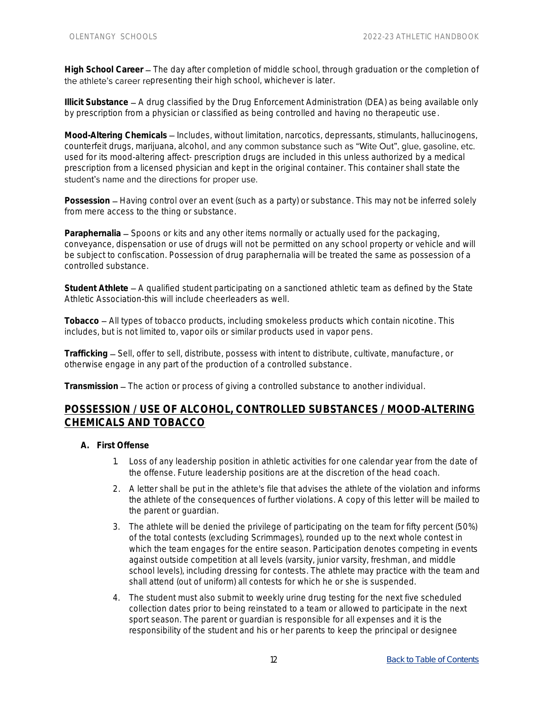High School Career – The day after completion of middle school, through graduation or the completion of the athlete's career representing their high school, whichever is later.

**Illicit Substance – A drug classified by the Drug Enforcement Administration (DEA) as being available only** by prescription from a physician or classified as being controlled and having no therapeutic use.

Mood-Altering Chemicals – Includes, without limitation, narcotics, depressants, stimulants, hallucinogens, counterfeit drugs, marijuana, alcohol, and any common substance such as "Wite Out", glue, gasoline, etc. used for its mood-altering affect- prescription drugs are included in this unless authorized by a medical prescription from a licensed physician and kept in the original container. This container shall state the student's name and the directions for proper use.

Possession – Having control over an event (such as a party) or substance. This may not be inferred solely from mere access to the thing or substance.

Paraphernalia – Spoons or kits and any other items normally or actually used for the packaging, conveyance, dispensation or use of drugs will not be permitted on any school property or vehicle and will be subject to confiscation. Possession of drug paraphernalia will be treated the same as possession of a controlled substance.

**Student Athlete** A qualified student participating on a sanctioned athletic team as defined by the State Athletic Association-this will include cheerleaders as well.

**Tobacco** All types of tobacco products, including smokeless products which contain nicotine. This includes, but is not limited to, vapor oils or similar products used in vapor pens.

Trafficking - Sell, offer to sell, distribute, possess with intent to distribute, cultivate, manufacture, or otherwise engage in any part of the production of a controlled substance.

Transmission – The action or process of giving a controlled substance to another individual.

## **POSSESSION / USE OF ALCOHOL, CONTROLLED SUBSTANCES / MOOD-ALTERING CHEMICALS AND TOBACCO**

- **A. First Offense** 
	- 1. Loss of any leadership position in athletic activities for one calendar year from the date of the offense. Future leadership positions are at the discretion of the head coach.
	- 2. A letter shall be put in the athlete's file that advises the athlete of the violation and informs the athlete of the consequences of further violations. A copy of this letter will be mailed to the parent or guardian.
	- 3. The athlete will be denied the privilege of participating on the team for fifty percent (50%) of the total contests (excluding Scrimmages), rounded up to the next whole contest in which the team engages for the entire season. Participation denotes competing in events against outside competition at all levels (varsity, junior varsity, freshman, and middle school levels), including dressing for contests. The athlete may practice with the team and shall attend (out of uniform) all contests for which he or she is suspended.
	- 4. The student must also submit to weekly urine drug testing for the next five scheduled collection dates prior to being reinstated to a team or allowed to participate in the next sport season. The parent or guardian is responsible for all expenses and it is the responsibility of the student and his or her parents to keep the principal or designee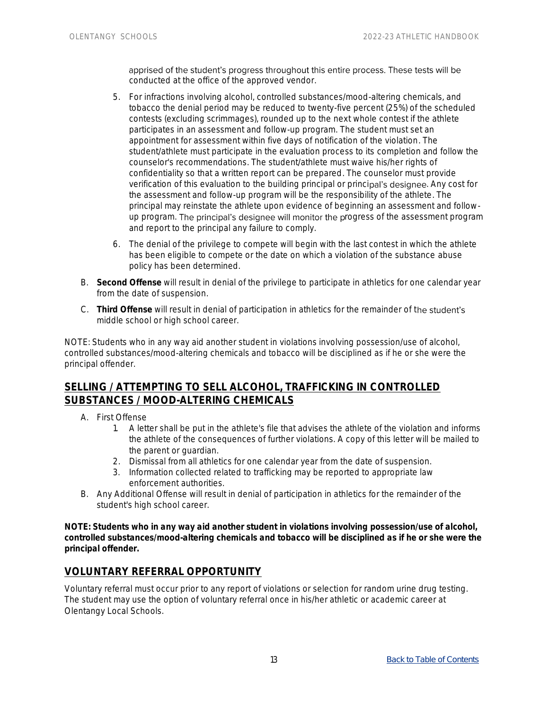apprised of the student's progress throughout this entire process. These tests will be conducted at the office of the approved vendor.

- 5. For infractions involving alcohol, controlled substances/mood-altering chemicals, and tobacco the denial period may be reduced to twenty-five percent (25%) of the scheduled contests (excluding scrimmages), rounded up to the next whole contest if the athlete participates in an assessment and follow-up program. The student must set an appointment for assessment within five days of notification of the violation. The student/athlete must participate in the evaluation process to its completion and follow the counselor's recommendations. The student/athlete must waive his/her rights of confidentiality so that a written report can be prepared. The counselor must provide verification of this evaluation to the building principal or principal's designee. Any cost for the assessment and follow-up program will be the responsibility of the athlete. The principal may reinstate the athlete upon evidence of beginning an assessment and followup program. The principal's designee will monitor the progress of the assessment program and report to the principal any failure to comply.
- 6. The denial of the privilege to compete will begin with the last contest in which the athlete has been eligible to compete or the date on which a violation of the substance abuse policy has been determined.
- B. **Second Offense** will result in denial of the privilege to participate in athletics for one calendar year from the date of suspension.
- C. **Third Offense** will result in denial of participation in athletics for the remainder of t middle school or high school career.

NOTE: Students who in any way aid another student in violations involving possession/use of alcohol, controlled substances/mood-altering chemicals and tobacco will be disciplined as if he or she were the principal offender.

# <span id="page-16-0"></span>**SELLING / ATTEMPTING TO SELL ALCOHOL, TRAFFICKING IN CONTROLLED SUBSTANCES / MOOD-ALTERING CHEMICALS**

- A. First Offense
	- 1. A letter shall be put in the athlete's file that advises the athlete of the violation and informs the athlete of the consequences of further violations. A copy of this letter will be mailed to the parent or guardian.
	- 2. Dismissal from all athletics for one calendar year from the date of suspension.
	- 3. Information collected related to trafficking may be reported to appropriate law enforcement authorities.
- B. Any Additional Offense will result in denial of participation in athletics for the remainder of the student's high school career.

**NOTE: Students who in any way aid another student in violations involving possession/use of alcohol, controlled substances/mood-altering chemicals and tobacco will be disciplined as if he or she were the principal offender.**

## <span id="page-16-1"></span>**VOLUNTARY REFERRAL OPPORTUNITY**

Voluntary referral must occur prior to any report of violations or selection for random urine drug testing. The student may use the option of voluntary referral once in his/her athletic or academic career at Olentangy Local Schools.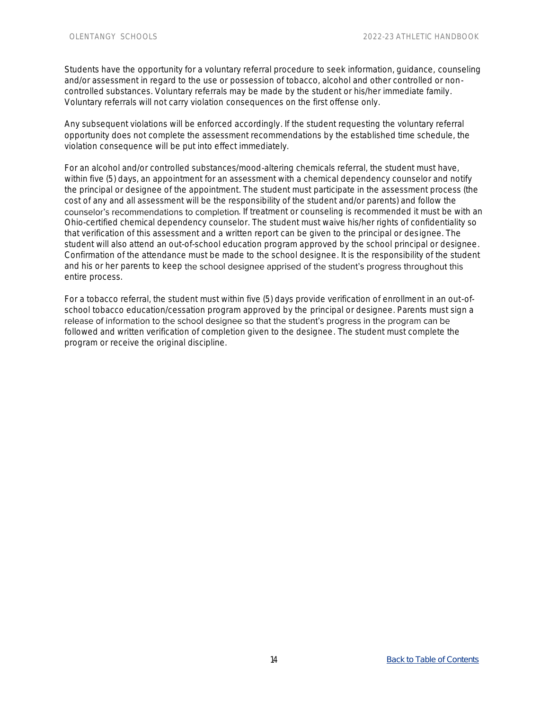Students have the opportunity for a voluntary referral procedure to seek information, guidance, counseling and/or assessment in regard to the use or possession of tobacco, alcohol and other controlled or noncontrolled substances. Voluntary referrals may be made by the student or his/her immediate family. Voluntary referrals will not carry violation consequences on the first offense only.

Any subsequent violations will be enforced accordingly. If the student requesting the voluntary referral opportunity does not complete the assessment recommendations by the established time schedule, the violation consequence will be put into effect immediately.

For an alcohol and/or controlled substances/mood-altering chemicals referral, the student must have, within five (5) days, an appointment for an assessment with a chemical dependency counselor and notify the principal or designee of the appointment. The student must participate in the assessment process (the cost of any and all assessment will be the responsibility of the student and/or parents) and follow the counselor's recommendations to completion. If treatment or counseling is recommended it must be with an Ohio-certified chemical dependency counselor. The student must waive his/her rights of confidentiality so that verification of this assessment and a written report can be given to the principal or designee. The student will also attend an out-of-school education program approved by the school principal or designee. Confirmation of the attendance must be made to the school designee. It is the responsibility of the student and his or her parents to keep the school designee apprised of the student's progress throughout this entire process.

For a tobacco referral, the student must within five (5) days provide verification of enrollment in an out-ofschool tobacco education/cessation program approved by the principal or designee. Parents must sign a release of information to the school designee so that the student's progress in the program can be followed and written verification of completion given to the designee. The student must complete the program or receive the original discipline.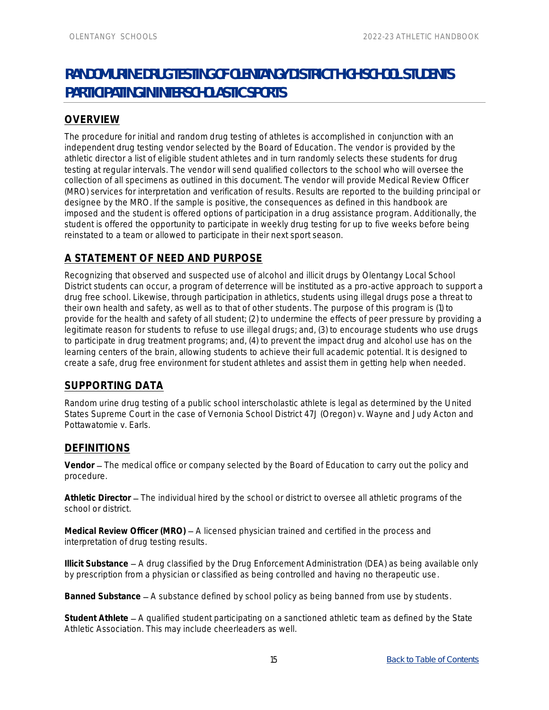# <span id="page-18-0"></span>**RANDOM URINE DRUG TESTING OF OLENTANGY DISTRICT HIGH SCHOOL STUDENTS PARTICIPATING IN INTERSCHOLASTIC SPORTS**

# <span id="page-18-1"></span>**OVERVIEW**

The procedure for initial and random drug testing of athletes is accomplished in conjunction with an independent drug testing vendor selected by the Board of Education. The vendor is provided by the athletic director a list of eligible student athletes and in turn randomly selects these students for drug testing at regular intervals. The vendor will send qualified collectors to the school who will oversee the collection of all specimens as outlined in this document. The vendor will provide Medical Review Officer (MRO) services for interpretation and verification of results. Results are reported to the building principal or designee by the MRO. If the sample is positive, the consequences as defined in this handbook are imposed and the student is offered options of participation in a drug assistance program. Additionally, the student is offered the opportunity to participate in weekly drug testing for up to five weeks before being reinstated to a team or allowed to participate in their next sport season.

# <span id="page-18-2"></span>**A STATEMENT OF NEED AND PURPOSE**

Recognizing that observed and suspected use of alcohol and illicit drugs by Olentangy Local School District students can occur, a program of deterrence will be instituted as a pro-active approach to support a drug free school. Likewise, through participation in athletics, students using illegal drugs pose a threat to their own health and safety, as well as to that of other students. The purpose of this program is (1) to provide for the health and safety of all student; (2) to undermine the effects of peer pressure by providing a legitimate reason for students to refuse to use illegal drugs; and, (3) to encourage students who use drugs to participate in drug treatment programs; and, (4) to prevent the impact drug and alcohol use has on the learning centers of the brain, allowing students to achieve their full academic potential. It is designed to create a safe, drug free environment for student athletes and assist them in getting help when needed.

# <span id="page-18-3"></span>**SUPPORTING DATA**

Random urine drug testing of a public school interscholastic athlete is legal as determined by the United States Supreme Court in the case of Vernonia School District 47J (Oregon) v. Wayne and Judy Acton and Pottawatomie v. Earls.

# <span id="page-18-4"></span>**DEFINITIONS**

Vendor – The medical office or company selected by the Board of Education to carry out the policy and procedure.

Athletic Director - The individual hired by the school or district to oversee all athletic programs of the school or district.

Medical Review Officer (MRO) – A licensed physician trained and certified in the process and interpretation of drug testing results.

**Illicit Substance** A drug classified by the Drug Enforcement Administration (DEA) as being available only by prescription from a physician or classified as being controlled and having no therapeutic use.

Banned Substance – A substance defined by school policy as being banned from use by students.

**Student Athlete** A qualified student participating on a sanctioned athletic team as defined by the State Athletic Association. This may include cheerleaders as well.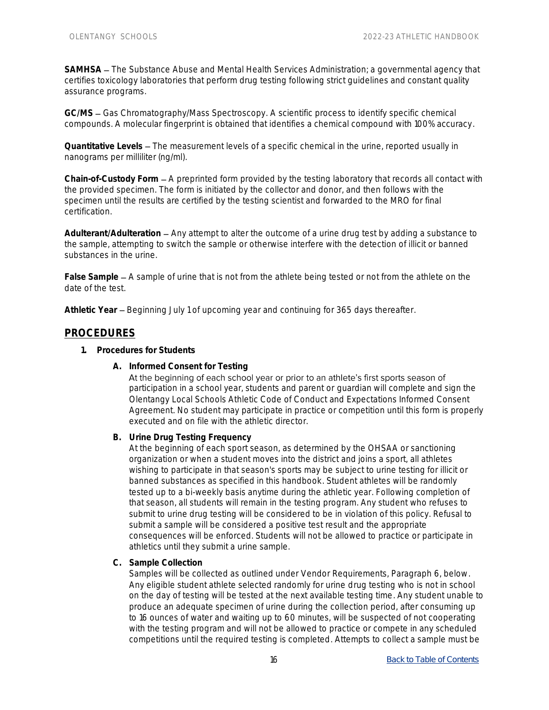SAMHSA - The Substance Abuse and Mental Health Services Administration; a governmental agency that certifies toxicology laboratories that perform drug testing following strict guidelines and constant quality assurance programs.

GC/MS – Gas Chromatography/Mass Spectroscopy. A scientific process to identify specific chemical compounds. A molecular fingerprint is obtained that identifies a chemical compound with 100% accuracy.

Quantitative Levels – The measurement levels of a specific chemical in the urine, reported usually in nanograms per milliliter (ng/ml).

Chain-of-Custody Form  $-$  A preprinted form provided by the testing laboratory that records all contact with the provided specimen. The form is initiated by the collector and donor, and then follows with the specimen until the results are certified by the testing scientist and forwarded to the MRO for final certification.

Adulterant/Adulteration – Any attempt to alter the outcome of a urine drug test by adding a substance to the sample, attempting to switch the sample or otherwise interfere with the detection of illicit or banned substances in the urine.

False Sample – A sample of urine that is not from the athlete being tested or not from the athlete on the date of the test.

**Athletic Year** Beginning July 1 of upcoming year and continuing for 365 days thereafter.

#### <span id="page-19-0"></span>**PROCEDURES**

- **1. Procedures for Students**
	- **A. Informed Consent for Testing**

At the beginning of each school year or prior to an athlete's first sports season of participation in a school year, students and parent or guardian will complete and sign the Olentangy Local Schools Athletic Code of Conduct and Expectations Informed Consent Agreement. No student may participate in practice or competition until this form is properly executed and on file with the athletic director.

**B. Urine Drug Testing Frequency**

At the beginning of each sport season, as determined by the OHSAA or sanctioning organization or when a student moves into the district and joins a sport, all athletes wishing to participate in that season's sports may be subject to urine testing for illicit or banned substances as specified in this handbook. Student athletes will be randomly tested up to a bi-weekly basis anytime during the athletic year. Following completion of that season, all students will remain in the testing program. Any student who refuses to submit to urine drug testing will be considered to be in violation of this policy. Refusal to submit a sample will be considered a positive test result and the appropriate consequences will be enforced. Students will not be allowed to practice or participate in athletics until they submit a urine sample.

**C. Sample Collection**

Samples will be collected as outlined under Vendor Requirements, Paragraph 6, below. Any eligible student athlete selected randomly for urine drug testing who is not in school on the day of testing will be tested at the next available testing time. Any student unable to produce an adequate specimen of urine during the collection period, after consuming up to 16 ounces of water and waiting up to 60 minutes, will be suspected of not cooperating with the testing program and will not be allowed to practice or compete in any scheduled competitions until the required testing is completed. Attempts to collect a sample must be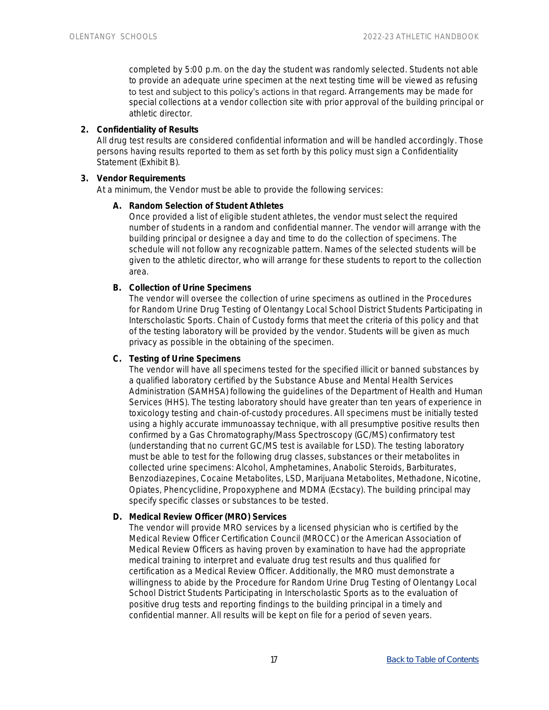completed by 5:00 p.m. on the day the student was randomly selected. Students not able to provide an adequate urine specimen at the next testing time will be viewed as refusing to test and subject to this policy's actions in that regard. Arrangements may be made for special collections at a vendor collection site with prior approval of the building principal or athletic director.

**2. Confidentiality of Results**

All drug test results are considered confidential information and will be handled accordingly. Those persons having results reported to them as set forth by this policy must sign a Confidentiality Statement (Exhibit B).

#### **3. Vendor Requirements**

At a minimum, the Vendor must be able to provide the following services:

**A. Random Selection of Student Athletes**

Once provided a list of eligible student athletes, the vendor must select the required number of students in a random and confidential manner. The vendor will arrange with the building principal or designee a day and time to do the collection of specimens. The schedule will not follow any recognizable pattern. Names of the selected students will be given to the athletic director, who will arrange for these students to report to the collection area.

**B. Collection of Urine Specimens**

The vendor will oversee the collection of urine specimens as outlined in the Procedures for Random Urine Drug Testing of Olentangy Local School District Students Participating in Interscholastic Sports. Chain of Custody forms that meet the criteria of this policy and that of the testing laboratory will be provided by the vendor. Students will be given as much privacy as possible in the obtaining of the specimen.

**C. Testing of Urine Specimens**

The vendor will have all specimens tested for the specified illicit or banned substances by a qualified laboratory certified by the Substance Abuse and Mental Health Services Administration (SAMHSA) following the guidelines of the Department of Health and Human Services (HHS). The testing laboratory should have greater than ten years of experience in toxicology testing and chain-of-custody procedures. All specimens must be initially tested using a highly accurate immunoassay technique, with all presumptive positive results then confirmed by a Gas Chromatography/Mass Spectroscopy (GC/MS) confirmatory test (understanding that no current GC/MS test is available for LSD). The testing laboratory must be able to test for the following drug classes, substances or their metabolites in collected urine specimens: Alcohol, Amphetamines, Anabolic Steroids, Barbiturates, Benzodiazepines, Cocaine Metabolites, LSD, Marijuana Metabolites, Methadone, Nicotine, Opiates, Phencyclidine, Propoxyphene and MDMA (Ecstacy). The building principal may specify specific classes or substances to be tested.

**D. Medical Review Officer (MRO) Services**

The vendor will provide MRO services by a licensed physician who is certified by the Medical Review Officer Certification Council (MROCC) or the American Association of Medical Review Officers as having proven by examination to have had the appropriate medical training to interpret and evaluate drug test results and thus qualified for certification as a Medical Review Officer. Additionally, the MRO must demonstrate a willingness to abide by the Procedure for Random Urine Drug Testing of Olentangy Local School District Students Participating in Interscholastic Sports as to the evaluation of positive drug tests and reporting findings to the building principal in a timely and confidential manner. All results will be kept on file for a period of seven years.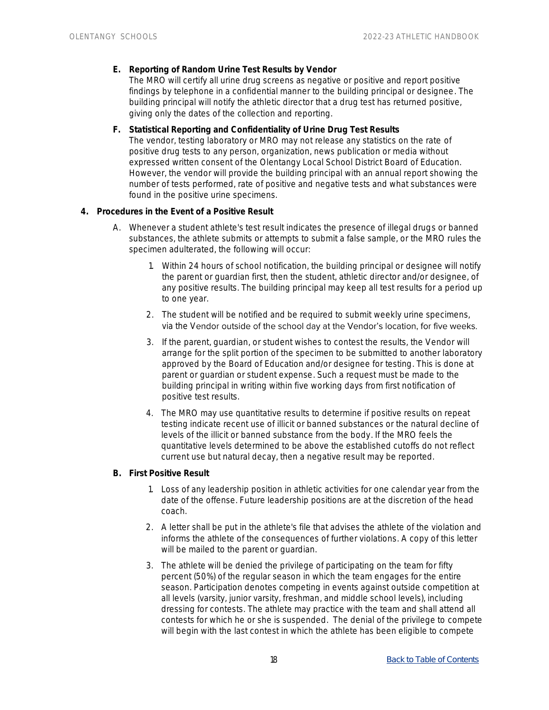- **E. Reporting of Random Urine Test Results by Vendor** The MRO will certify all urine drug screens as negative or positive and report positive findings by telephone in a confidential manner to the building principal or designee. The building principal will notify the athletic director that a drug test has returned positive, giving only the dates of the collection and reporting.
- **F. Statistical Reporting and Confidentiality of Urine Drug Test Results** The vendor, testing laboratory or MRO may not release any statistics on the rate of positive drug tests to any person, organization, news publication or media without expressed written consent of the Olentangy Local School District Board of Education. However, the vendor will provide the building principal with an annual report showing the number of tests performed, rate of positive and negative tests and what substances were found in the positive urine specimens.
- **4. Procedures in the Event of a Positive Result**
	- A. Whenever a student athlete's test result indicates the presence of illegal drugs or banned substances, the athlete submits or attempts to submit a false sample, or the MRO rules the specimen adulterated, the following will occur:
		- 1. Within 24 hours of school notification, the building principal or designee will notify the parent or guardian first, then the student, athletic director and/or designee, of any positive results. The building principal may keep all test results for a period up to one year.
		- 2. The student will be notified and be required to submit weekly urine specimens, via the Vendor outside of the school day at the Vendor's location, for five weeks.
		- 3. If the parent, guardian, or student wishes to contest the results, the Vendor will arrange for the split portion of the specimen to be submitted to another laboratory approved by the Board of Education and/or designee for testing. This is done at parent or guardian or student expense. Such a request must be made to the building principal in writing within five working days from first notification of positive test results.
		- 4. The MRO may use quantitative results to determine if positive results on repeat testing indicate recent use of illicit or banned substances or the natural decline of levels of the illicit or banned substance from the body. If the MRO feels the quantitative levels determined to be above the established cutoffs do not reflect current use but natural decay, then a negative result may be reported.
	- **B. First Positive Result**
		- 1. Loss of any leadership position in athletic activities for one calendar year from the date of the offense. Future leadership positions are at the discretion of the head coach.
		- 2. A letter shall be put in the athlete's file that advises the athlete of the violation and informs the athlete of the consequences of further violations. A copy of this letter will be mailed to the parent or quardian.
		- 3. The athlete will be denied the privilege of participating on the team for fifty percent (50%) of the regular season in which the team engages for the entire season. Participation denotes competing in events against outside competition at all levels (varsity, junior varsity, freshman, and middle school levels), including dressing for contests. The athlete may practice with the team and shall attend all contests for which he or she is suspended. The denial of the privilege to compete will begin with the last contest in which the athlete has been eligible to compete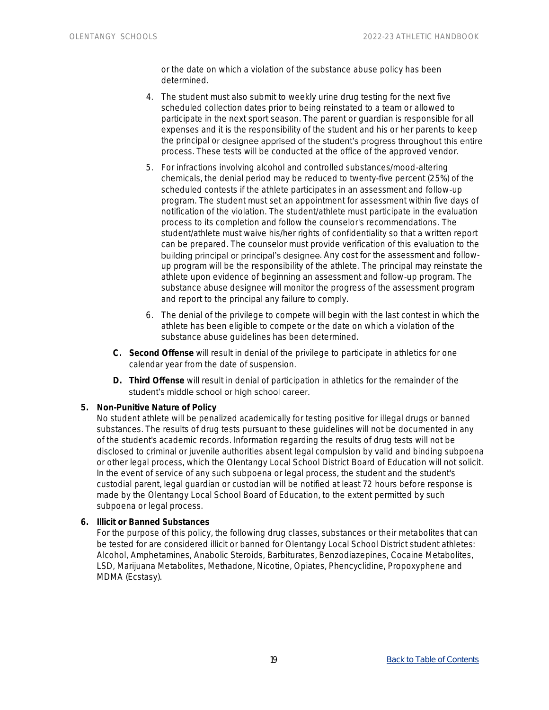or the date on which a violation of the substance abuse policy has been determined.

- 4. The student must also submit to weekly urine drug testing for the next five scheduled collection dates prior to being reinstated to a team or allowed to participate in the next sport season. The parent or guardian is responsible for all expenses and it is the responsibility of the student and his or her parents to keep the principal or designee apprised of the student's progress throughout this entire process. These tests will be conducted at the office of the approved vendor.
- 5. For infractions involving alcohol and controlled substances/mood-altering chemicals, the denial period may be reduced to twenty-five percent (25%) of the scheduled contests if the athlete participates in an assessment and follow-up program. The student must set an appointment for assessment within five days of notification of the violation. The student/athlete must participate in the evaluation process to its completion and follow the counselor's recommendations. The student/athlete must waive his/her rights of confidentiality so that a written report can be prepared. The counselor must provide verification of this evaluation to the building principal or principal's designee. Any cost for the assessment and followup program will be the responsibility of the athlete. The principal may reinstate the athlete upon evidence of beginning an assessment and follow-up program. The substance abuse designee will monitor the progress of the assessment program and report to the principal any failure to comply.
- 6. The denial of the privilege to compete will begin with the last contest in which the athlete has been eligible to compete or the date on which a violation of the substance abuse guidelines has been determined.
- **C. Second Offense** will result in denial of the privilege to participate in athletics for one calendar year from the date of suspension.
- **D. Third Offense** will result in denial of participation in athletics for the remainder of the student's middle school or high school career.
- **5. Non-Punitive Nature of Policy**

No student athlete will be penalized academically for testing positive for illegal drugs or banned substances. The results of drug tests pursuant to these guidelines will not be documented in any of the student's academic records. Information regarding the results of drug tests will not be disclosed to criminal or juvenile authorities absent legal compulsion by valid and binding subpoena or other legal process, which the Olentangy Local School District Board of Education will not solicit. In the event of service of any such subpoena or legal process, the student and the student's custodial parent, legal guardian or custodian will be notified at least 72 hours before response is made by the Olentangy Local School Board of Education, to the extent permitted by such subpoena or legal process.

**6. Illicit or Banned Substances**

For the purpose of this policy, the following drug classes, substances or their metabolites that can be tested for are considered illicit or banned for Olentangy Local School District student athletes: Alcohol, Amphetamines, Anabolic Steroids, Barbiturates, Benzodiazepines, Cocaine Metabolites, LSD, Marijuana Metabolites, Methadone, Nicotine, Opiates, Phencyclidine, Propoxyphene and MDMA (Ecstasy).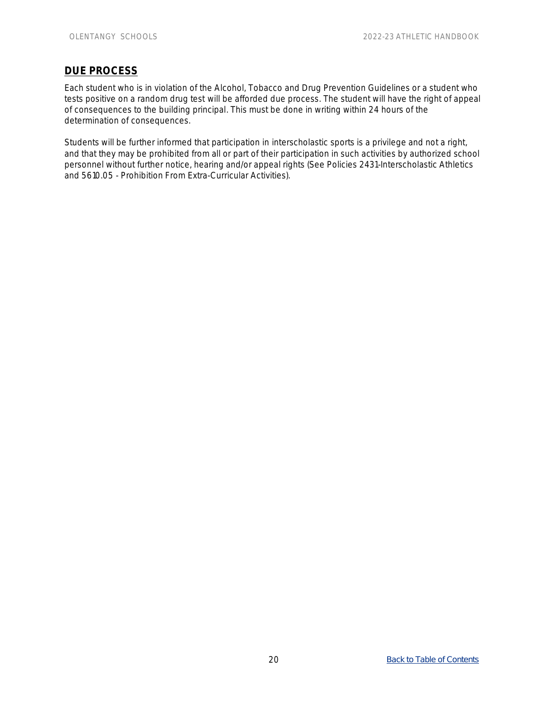# <span id="page-23-0"></span>**DUE PROCESS**

Each student who is in violation of the Alcohol, Tobacco and Drug Prevention Guidelines or a student who tests positive on a random drug test will be afforded due process. The student will have the right of appeal of consequences to the building principal. This must be done in writing within 24 hours of the determination of consequences.

Students will be further informed that participation in interscholastic sports is a privilege and not a right, and that they may be prohibited from all or part of their participation in such activities by authorized school personnel without further notice, hearing and/or appeal rights (See Policies 2431-Interscholastic Athletics and 5610.05 - Prohibition From Extra-Curricular Activities).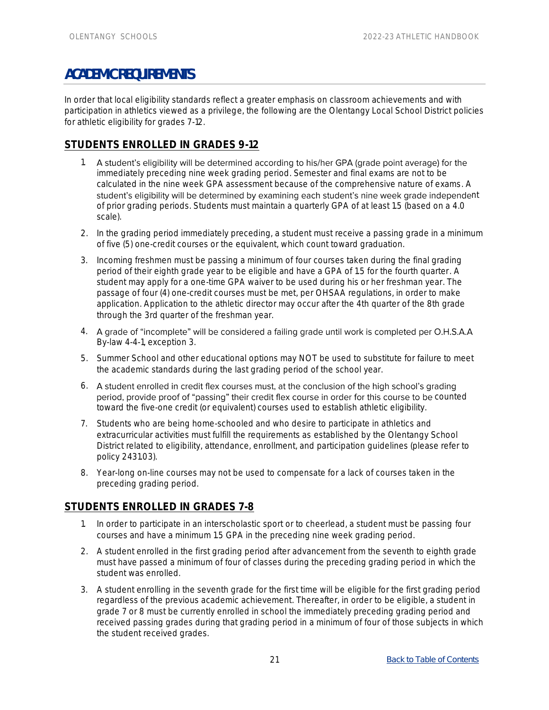# <span id="page-24-0"></span>**ACADEMIC REQUIREMENTS**

In order that local eligibility standards reflect a greater emphasis on classroom achievements and with participation in athletics viewed as a privilege, the following are the Olentangy Local School District policies for athletic eligibility for grades 7-12.

# <span id="page-24-1"></span>**STUDENTS ENROLLED IN GRADES 9-12**

- 1. A student's eligibility will be determined according to his/her GPA (grade point average) for the immediately preceding nine week grading period. Semester and final exams are not to be calculated in the nine week GPA assessment because of the comprehensive nature of exams. A student's eligibility will be determined by examining each student's nine week grade independent of prior grading periods. Students must maintain a quarterly GPA of at least 1.5 (based on a 4.0 scale).
- 2. In the grading period immediately preceding, a student must receive a passing grade in a minimum of five (5) one-credit courses or the equivalent, which count toward graduation.
- 3. Incoming freshmen must be passing a minimum of four courses taken during the final grading period of their eighth grade year to be eligible and have a GPA of 1.5 for the fourth quarter. A student may apply for a one-time GPA waiver to be used during his or her freshman year. The passage of four (4) one-credit courses must be met, per OHSAA regulations, in order to make application. Application to the athletic director may occur after the 4th quarter of the 8th grade through the 3rd quarter of the freshman year.
- 4. A grade of "incomplete" will be considered a failing grade until work is completed per O.H.S.A.A By-law 4-4-1, exception 3.
- 5. Summer School and other educational options may NOT be used to substitute for failure to meet the academic standards during the last grading period of the school year.
- 6. A student enrolled in credit flex courses must, at the conclusion of the high school's grading period, provide proof of "passing" their credit flex course in order for this course to be counted toward the five-one credit (or equivalent) courses used to establish athletic eligibility.
- 7. Students who are being home-schooled and who desire to participate in athletics and extracurricular activities must fulfill the requirements as established by the Olentangy School District related to eligibility, attendance, enrollment, and participation guidelines (please refer to policy 2431.03).
- 8. Year-long on-line courses may not be used to compensate for a lack of courses taken in the preceding grading period.

# <span id="page-24-2"></span>**STUDENTS ENROLLED IN GRADES 7-8**

- 1. In order to participate in an interscholastic sport or to cheerlead, a student must be passing four courses and have a minimum 1.5 GPA in the preceding nine week grading period.
- 2. A student enrolled in the first grading period after advancement from the seventh to eighth grade must have passed a minimum of four of classes during the preceding grading period in which the student was enrolled.
- 3. A student enrolling in the seventh grade for the first time will be eligible for the first grading period regardless of the previous academic achievement. Thereafter, in order to be eligible, a student in grade 7 or 8 must be currently enrolled in school the immediately preceding grading period and received passing grades during that grading period in a minimum of four of those subjects in which the student received grades.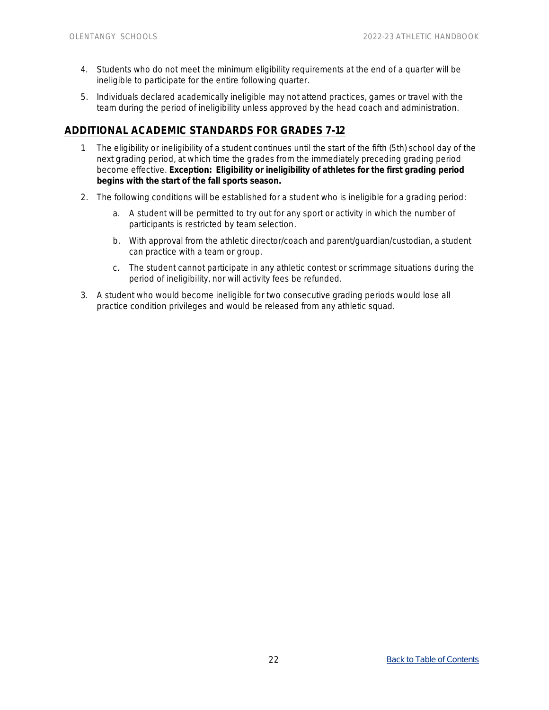- 4. Students who do not meet the minimum eligibility requirements at the end of a quarter will be ineligible to participate for the entire following quarter.
- 5. Individuals declared academically ineligible may not attend practices, games or travel with the team during the period of ineligibility unless approved by the head coach and administration.

## <span id="page-25-0"></span>**ADDITIONAL ACADEMIC STANDARDS FOR GRADES 7-12**

- 1. The eligibility or ineligibility of a student continues until the start of the fifth (5th) school day of the next grading period, at which time the grades from the immediately preceding grading period become effective. **Exception: Eligibility or ineligibility of athletes for the first grading period begins with the start of the fall sports season.**
- 2. The following conditions will be established for a student who is ineligible for a grading period:
	- a. A student will be permitted to try out for any sport or activity in which the number of participants is restricted by team selection.
	- b. With approval from the athletic director/coach and parent/guardian/custodian, a student can practice with a team or group.
	- c. The student cannot participate in any athletic contest or scrimmage situations during the period of ineligibility, nor will activity fees be refunded.
- 3. A student who would become ineligible for two consecutive grading periods would lose all practice condition privileges and would be released from any athletic squad.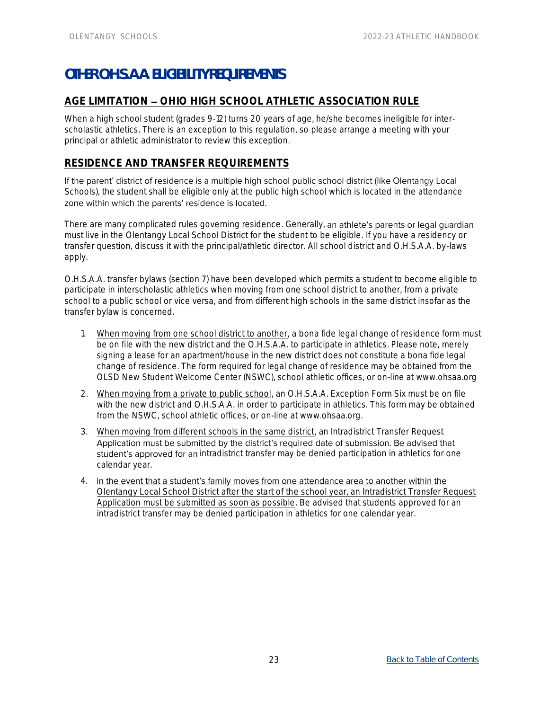# <span id="page-26-0"></span>**OTHER O.H.S.A.A. ELIGIBILITY REQUIREMENTS**

# <span id="page-26-1"></span>AGE LIMITATION - OHIO HIGH SCHOOL ATHLETIC ASSOCIATION RULE

When a high school student (grades 9-12) turns 20 years of age, he/she becomes ineligible for interscholastic athletics. There is an exception to this regulation, so please arrange a meeting with your principal or athletic administrator to review this exception.

## <span id="page-26-2"></span>**RESIDENCE AND TRANSFER REQUIREMENTS**

If the parent' district of residence is a multiple high school public school district (like Olentangy Local Schools), the student shall be eligible only at the public high school which is located in the attendance zone within which the parents' residence is located.

There are many complicated rules governing residence. Generally, an athlete's parents or legal quardian must live in the Olentangy Local School District for the student to be eligible. If you have a residency or transfer question, discuss it with the principal/athletic director. All school district and O.H.S.A.A. by-laws apply.

O.H.S.A.A. transfer bylaws (section 7) have been developed which permits a student to become eligible to participate in interscholastic athletics when moving from one school district to another, from a private school to a public school or vice versa, and from different high schools in the same district insofar as the transfer bylaw is concerned.

- 1. When moving from one school district to another, a bona fide legal change of residence form must be on file with the new district and the O.H.S.A.A. to participate in athletics. Please note, merely signing a lease for an apartment/house in the new district does not constitute a bona fide legal change of residence. The form required for legal change of residence may be obtained from the OLSD New Student Welcome Center (NSWC), school athletic offices, or on-line at www.ohsaa.org
- 2. When moving from a private to public school, an O.H.S.A.A. Exception Form Six must be on file with the new district and O.H.S.A.A. in order to participate in athletics. This form may be obtained from the NSWC, school athletic offices, or on-line at www.ohsaa.org.
- 3. When moving from different schools in the same district, an Intradistrict Transfer Request Application must be submitted by the district's required date of submission. Be advised that student's approved for an intradistrict transfer may be denied participation in athletics for one calendar year.
- 4. In the event that a student's family moves from one attendance area to another within the Olentangy Local School District after the start of the school year, an Intradistrict Transfer Request Application must be submitted as soon as possible. Be advised that students approved for an intradistrict transfer may be denied participation in athletics for one calendar year.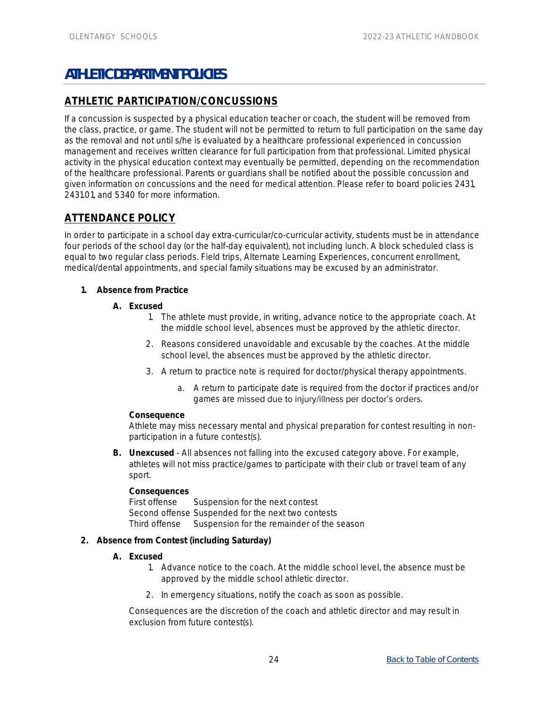# <span id="page-27-0"></span>**ATHLETIC DEPARTMENT POLICIES**

# <span id="page-27-1"></span>**ATHLETIC PARTICIPATION/CONCUSSIONS**

If a concussion is suspected by a physical education teacher or coach, the student will be removed from the class, practice, or game. The student will not be permitted to return to full participation on the same day as the removal and not until s/he is evaluated by a healthcare professional experienced in concussion management and receives written clearance for full participation from that professional. Limited physical activity in the physical education context may eventually be permitted, depending on the recommendation of the healthcare professional. Parents or guardians shall be notified about the possible concussion and given information on concussions and the need for medical attention. Please refer to board policies 2431, 2431.01, and 5340 for more information.

# <span id="page-27-2"></span>**ATTENDANCE POLICY**

In order to participate in a school day extra-curricular/co-curricular activity, students must be in attendance four periods of the school day (or the half-day equivalent), not including lunch. A block scheduled class is equal to two regular class periods. Field trips, Alternate Learning Experiences, concurrent enrollment, medical/dental appointments, and special family situations may be excused by an administrator.

- **1. Absence from Practice**
	- **A. Excused**
		- 1. The athlete must provide, in writing, advance notice to the appropriate coach. At the middle school level, absences must be approved by the athletic director.
		- 2. Reasons considered unavoidable and excusable by the coaches. At the middle school level, the absences must be approved by the athletic director.
		- 3. A return to practice note is required for doctor/physical therapy appointments.
			- a. A return to participate date is required from the doctor if practices and/or games are missed due to injury/illness per doctor's orders.

#### **Consequence**

Athlete may miss necessary mental and physical preparation for contest resulting in nonparticipation in a future contest(s).

**B. Unexcused** - All absences not falling into the excused category above. For example, athletes will not miss practice/games to participate with their club or travel team of any sport.

**Consequences** First offense Suspension for the next contest Second offense Suspended for the next two contests Third offense Suspension for the remainder of the season

- **2. Absence from Contest (including Saturday)**
	- **A. Excused**
		- 1. Advance notice to the coach. At the middle school level, the absence must be approved by the middle school athletic director.
		- 2. In emergency situations, notify the coach as soon as possible.

Consequences are the discretion of the coach and athletic director and may result in exclusion from future contest(s).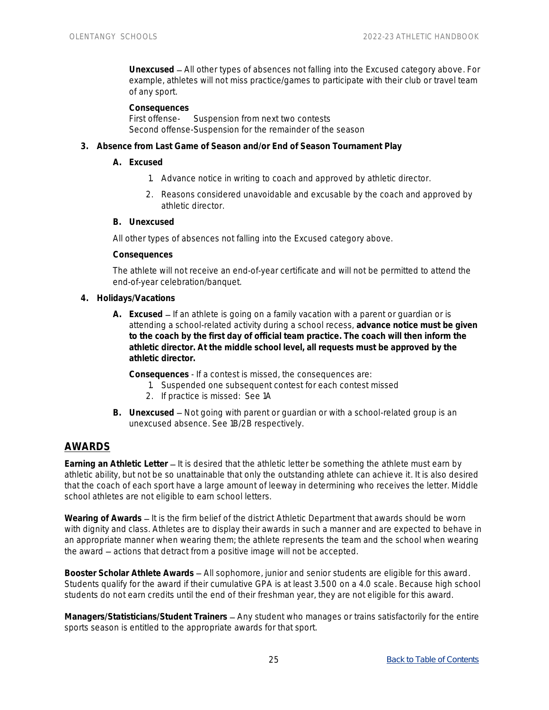**Unexcused** All other types of absences not falling into the Excused category above. For example, athletes will not miss practice/games to participate with their club or travel team of any sport.

**Consequences** First offense- Suspension from next two contests Second offense-Suspension for the remainder of the season

- **3. Absence from Last Game of Season and/or End of Season Tournament Play**
	- **A. Excused**
		- 1. Advance notice in writing to coach and approved by athletic director.
		- 2. Reasons considered unavoidable and excusable by the coach and approved by athletic director.
	- **B. Unexcused**

All other types of absences not falling into the Excused category above.

**Consequences**

The athlete will not receive an end-of-year certificate and will not be permitted to attend the end-of-year celebration/banquet.

- **4. Holidays/Vacations**
	- A. Excused If an athlete is going on a family vacation with a parent or quardian or is attending a school-related activity during a school recess, **advance notice must be given to the coach by the first day of official team practice. The coach will then inform the athletic director. At the middle school level, all requests must be approved by the athletic director.**

**Consequences** - If a contest is missed, the consequences are:

- 1. Suspended one subsequent contest for each contest missed
- 2. If practice is missed: See 1A
- B. Unexcused Not going with parent or guardian or with a school-related group is an unexcused absence. See 1B/2B respectively.

## <span id="page-28-0"></span>**AWARDS**

Earning an Athletic Letter – It is desired that the athletic letter be something the athlete must earn by athletic ability, but not be so unattainable that only the outstanding athlete can achieve it. It is also desired that the coach of each sport have a large amount of leeway in determining who receives the letter. Middle school athletes are not eligible to earn school letters.

Wearing of Awards – It is the firm belief of the district Athletic Department that awards should be worn with dignity and class. Athletes are to display their awards in such a manner and are expected to behave in an appropriate manner when wearing them; the athlete represents the team and the school when wearing the award – actions that detract from a positive image will not be accepted.

Booster Scholar Athlete Awards - All sophomore, junior and senior students are eligible for this award. Students qualify for the award if their cumulative GPA is at least 3.500 on a 4.0 scale. Because high school students do not earn credits until the end of their freshman year, they are not eligible for this award.

Managers/Statisticians/Student Trainers - Any student who manages or trains satisfactorily for the entire sports season is entitled to the appropriate awards for that sport.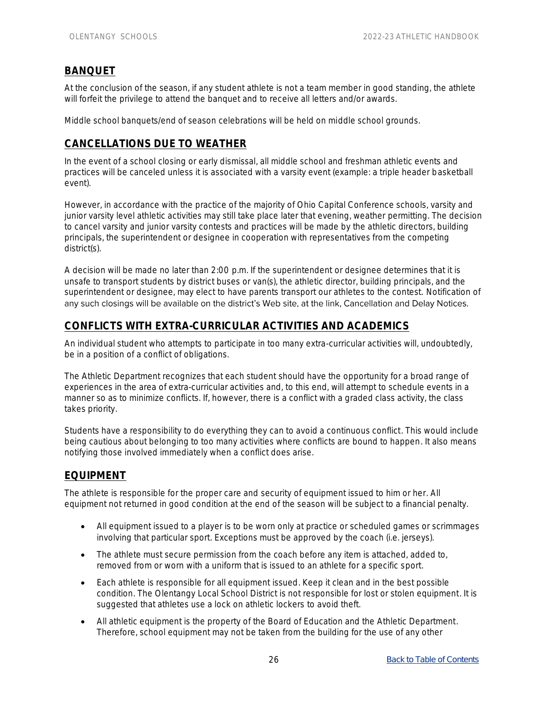# <span id="page-29-0"></span>**BANQUET**

At the conclusion of the season, if any student athlete is not a team member in good standing, the athlete will forfeit the privilege to attend the banquet and to receive all letters and/or awards.

Middle school banquets/end of season celebrations will be held on middle school grounds.

# <span id="page-29-1"></span>**CANCELLATIONS DUE TO WEATHER**

In the event of a school closing or early dismissal, all middle school and freshman athletic events and practices will be canceled unless it is associated with a varsity event (example: a triple header basketball event).

However, in accordance with the practice of the majority of Ohio Capital Conference schools, varsity and junior varsity level athletic activities may still take place later that evening, weather permitting. The decision to cancel varsity and junior varsity contests and practices will be made by the athletic directors, building principals, the superintendent or designee in cooperation with representatives from the competing district(s).

A decision will be made no later than 2:00 p.m. If the superintendent or designee determines that it is unsafe to transport students by district buses or van(s), the athletic director, building principals, and the superintendent or designee, may elect to have parents transport our athletes to the contest. Notification of any such closings will be available on the district's Web site, at the link, Cancellation and Delay Notices.

## <span id="page-29-2"></span>**CONFLICTS WITH EXTRA-CURRICULAR ACTIVITIES AND ACADEMICS**

An individual student who attempts to participate in too many extra-curricular activities will, undoubtedly, be in a position of a conflict of obligations.

The Athletic Department recognizes that each student should have the opportunity for a broad range of experiences in the area of extra-curricular activities and, to this end, will attempt to schedule events in a manner so as to minimize conflicts. If, however, there is a conflict with a graded class activity, the class takes priority.

Students have a responsibility to do everything they can to avoid a continuous conflict. This would include being cautious about belonging to too many activities where conflicts are bound to happen. It also means notifying those involved immediately when a conflict does arise.

#### <span id="page-29-3"></span>**EQUIPMENT**

The athlete is responsible for the proper care and security of equipment issued to him or her. All equipment not returned in good condition at the end of the season will be subject to a financial penalty.

- All equipment issued to a player is to be worn only at practice or scheduled games or scrimmages involving that particular sport. Exceptions must be approved by the coach (i.e. jerseys).
- The athlete must secure permission from the coach before any item is attached, added to, removed from or worn with a uniform that is issued to an athlete for a specific sport.
- Each athlete is responsible for all equipment issued. Keep it clean and in the best possible condition. The Olentangy Local School District is not responsible for lost or stolen equipment. It is suggested that athletes use a lock on athletic lockers to avoid theft.
- All athletic equipment is the property of the Board of Education and the Athletic Department. Therefore, school equipment may not be taken from the building for the use of any other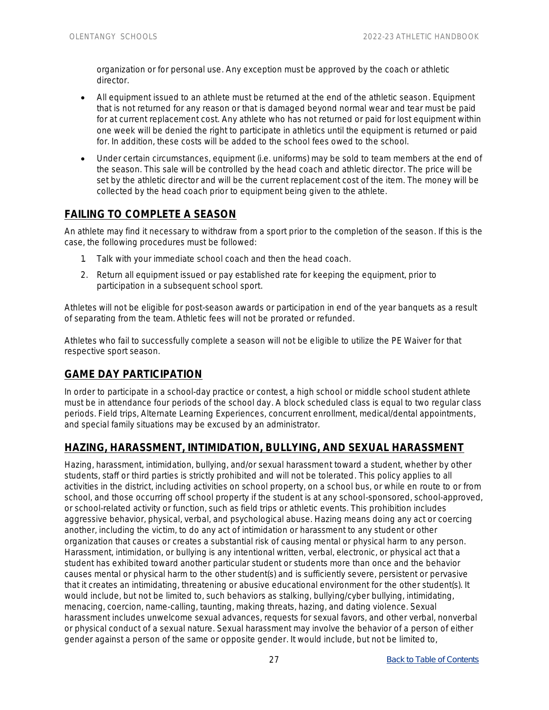organization or for personal use. Any exception must be approved by the coach or athletic director.

- All equipment issued to an athlete must be returned at the end of the athletic season. Equipment that is not returned for any reason or that is damaged beyond normal wear and tear must be paid for at current replacement cost. Any athlete who has not returned or paid for lost equipment within one week will be denied the right to participate in athletics until the equipment is returned or paid for. In addition, these costs will be added to the school fees owed to the school.
- Under certain circumstances, equipment (i.e. uniforms) may be sold to team members at the end of the season. This sale will be controlled by the head coach and athletic director. The price will be set by the athletic director and will be the current replacement cost of the item. The money will be collected by the head coach prior to equipment being given to the athlete.

# <span id="page-30-0"></span>**FAILING TO COMPLETE A SEASON**

An athlete may find it necessary to withdraw from a sport prior to the completion of the season. If this is the case, the following procedures must be followed:

- 1. Talk with your immediate school coach and then the head coach.
- 2. Return all equipment issued or pay established rate for keeping the equipment, prior to participation in a subsequent school sport.

Athletes will not be eligible for post-season awards or participation in end of the year banquets as a result of separating from the team. Athletic fees will not be prorated or refunded.

Athletes who fail to successfully complete a season will not be eligible to utilize the PE Waiver for that respective sport season.

## <span id="page-30-1"></span>**GAME DAY PARTICIPATION**

In order to participate in a school-day practice or contest, a high school or middle school student athlete must be in attendance four periods of the school day. A block scheduled class is equal to two regular class periods. Field trips, Alternate Learning Experiences, concurrent enrollment, medical/dental appointments, and special family situations may be excused by an administrator.

# <span id="page-30-2"></span>**HAZING, HARASSMENT, INTIMIDATION, BULLYING, AND SEXUAL HARASSMENT**

Hazing, harassment, intimidation, bullying, and/or sexual harassment toward a student, whether by other students, staff or third parties is strictly prohibited and will not be tolerated. This policy applies to all activities in the district, including activities on school property, on a school bus, or while en route to or from school, and those occurring off school property if the student is at any school-sponsored, school-approved, or school-related activity or function, such as field trips or athletic events. This prohibition includes aggressive behavior, physical, verbal, and psychological abuse. Hazing means doing any act or coercing another, including the victim, to do any act of intimidation or harassment to any student or other organization that causes or creates a substantial risk of causing mental or physical harm to any person. Harassment, intimidation, or bullying is any intentional written, verbal, electronic, or physical act that a student has exhibited toward another particular student or students more than once and the behavior causes mental or physical harm to the other student(s) and is sufficiently severe, persistent or pervasive that it creates an intimidating, threatening or abusive educational environment for the other student(s). It would include, but not be limited to, such behaviors as stalking, bullying/cyber bullying, intimidating, menacing, coercion, name-calling, taunting, making threats, hazing, and dating violence. Sexual harassment includes unwelcome sexual advances, requests for sexual favors, and other verbal, nonverbal or physical conduct of a sexual nature. Sexual harassment may involve the behavior of a person of either gender against a person of the same or opposite gender. It would include, but not be limited to,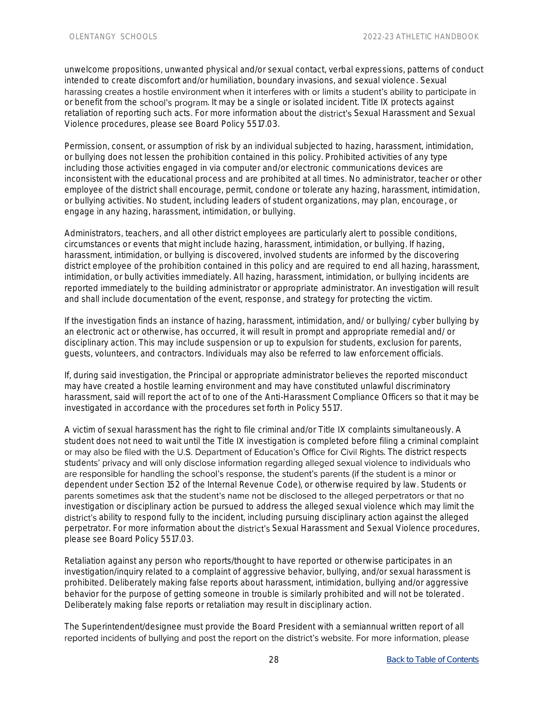unwelcome propositions, unwanted physical and/or sexual contact, verbal expressions, patterns of conduct intended to create discomfort and/or humiliation, boundary invasions, and sexual violence. Sexual harassing creates a hostile environment when it interferes with or limits a student's ability to participate in or benefit from the school's program. It may be a single or isolated incident. Title IX protects against retaliation of reporting such acts. For more information about the district's Sexual Harassment and Sexual Violence procedures, please see Board Policy 5517.03.

Permission, consent, or assumption of risk by an individual subjected to hazing, harassment, intimidation, or bullying does not lessen the prohibition contained in this policy. Prohibited activities of any type including those activities engaged in via computer and/or electronic communications devices are inconsistent with the educational process and are prohibited at all times. No administrator, teacher or other employee of the district shall encourage, permit, condone or tolerate any hazing, harassment, intimidation, or bullying activities. No student, including leaders of student organizations, may plan, encourage, or engage in any hazing, harassment, intimidation, or bullying.

Administrators, teachers, and all other district employees are particularly alert to possible conditions, circumstances or events that might include hazing, harassment, intimidation, or bullying. If hazing, harassment, intimidation, or bullying is discovered, involved students are informed by the discovering district employee of the prohibition contained in this policy and are required to end all hazing, harassment, intimidation, or bully activities immediately. All hazing, harassment, intimidation, or bullying incidents are reported immediately to the building administrator or appropriate administrator. An investigation will result and shall include documentation of the event, response, and strategy for protecting the victim.

If the investigation finds an instance of hazing, harassment, intimidation, and/ or bullying/ cyber bullying by an electronic act or otherwise, has occurred, it will result in prompt and appropriate remedial and/ or disciplinary action. This may include suspension or up to expulsion for students, exclusion for parents, guests, volunteers, and contractors. Individuals may also be referred to law enforcement officials.

If, during said investigation, the Principal or appropriate administrator believes the reported misconduct may have created a hostile learning environment and may have constituted unlawful discriminatory harassment, said will report the act of to one of the Anti-Harassment Compliance Officers so that it may be investigated in accordance with the procedures set forth in Policy 5517.

A victim of sexual harassment has the right to file criminal and/or Title IX complaints simultaneously. A student does not need to wait until the Title IX investigation is completed before filing a criminal complaint or may also be filed with the U.S. Department of Education's Office for Civil Rights. The district respects students' privacy and will only disclose information regarding alleged sexual violence to individuals who are responsible for handling the school's response, the student's parents (if the student is a minor or dependent under Section 152 of the Internal Revenue Code), or otherwise required by law. Students or parents sometimes ask that the student's name not be disclosed to the alleged perpetrators or that no investigation or disciplinary action be pursued to address the alleged sexual violence which may limit the district's ability to respond fully to the incident, including pursuing disciplinary action against the alleged perpetrator. For more information about the district's Sexual Harassment and Sexual Violence procedures, please see Board Policy 5517.03.

Retaliation against any person who reports/thought to have reported or otherwise participates in an investigation/inquiry related to a complaint of aggressive behavior, bullying, and/or sexual harassment is prohibited. Deliberately making false reports about harassment, intimidation, bullying and/or aggressive behavior for the purpose of getting someone in trouble is similarly prohibited and will not be tolerated. Deliberately making false reports or retaliation may result in disciplinary action.

The Superintendent/designee must provide the Board President with a semiannual written report of all reported incidents of bullying and post the report on the district's website. For more information, please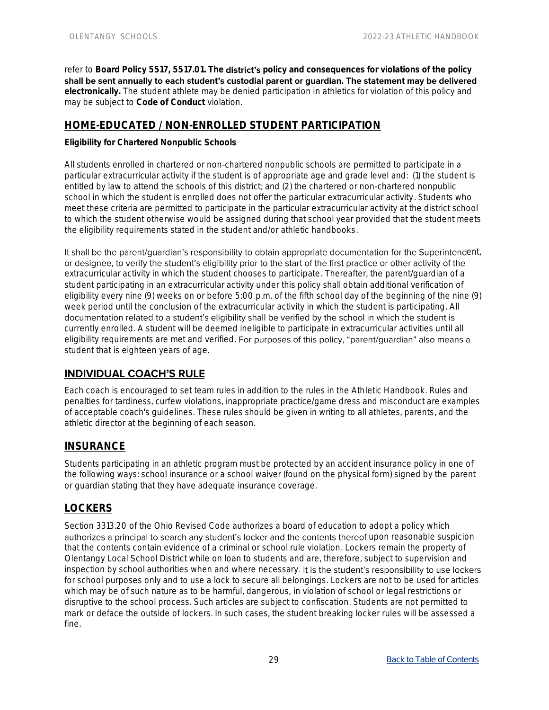refer to Board Policy 5517, 5517.01. The **district's** policy and consequences for violations of the policy shall be sent annually to each student's custodial parent or quardian. The statement may be delivered **electronically.** The student athlete may be denied participation in athletics for violation of this policy and may be subject to **Code of Conduct** violation.

# <span id="page-32-0"></span>**HOME-EDUCATED / NON-ENROLLED STUDENT PARTICIPATION**

**Eligibility for Chartered Nonpublic Schools**

All students enrolled in chartered or non-chartered nonpublic schools are permitted to participate in a particular extracurricular activity if the student is of appropriate age and grade level and: (1) the student is entitled by law to attend the schools of this district; and (2) the chartered or non-chartered nonpublic school in which the student is enrolled does not offer the particular extracurricular activity. Students who meet these criteria are permitted to participate in the particular extracurricular activity at the district school to which the student otherwise would be assigned during that school year provided that the student meets the eligibility requirements stated in the student and/or athletic handbooks.

It shall be the parent/guardian's responsibility to obtain appropriate documentation for the Superintendent, or designee, to verify the student's eligibility prior to the start of the first practice or other activity of the extracurricular activity in which the student chooses to participate. Thereafter, the parent/guardian of a student participating in an extracurricular activity under this policy shall obtain additional verification of eligibility every nine (9) weeks on or before 5:00 p.m. of the fifth school day of the beginning of the nine (9) week period until the conclusion of the extracurricular activity in which the student is participating. All documentation related to a student's eligibility shall be verified by the school in which the student is currently enrolled. A student will be deemed ineligible to participate in extracurricular activities until all eligibility requirements are met and verified. For purposes of this policy, "parent/guardian" also means a student that is eighteen years of age.

# <span id="page-32-1"></span>**INDIVIDUAL COACH'S RULE**

Each coach is encouraged to set team rules in addition to the rules in the Athletic Handbook. Rules and penalties for tardiness, curfew violations, inappropriate practice/game dress and misconduct are examples of acceptable coach's guidelines. These rules should be given in writing to all athletes, parents, and the athletic director at the beginning of each season.

# <span id="page-32-2"></span>**INSURANCE**

Students participating in an athletic program must be protected by an accident insurance policy in one of the following ways: school insurance or a school waiver (found on the physical form) signed by the parent or guardian stating that they have adequate insurance coverage.

## <span id="page-32-3"></span>**LOCKERS**

Section 3313.20 of the Ohio Revised Code authorizes a board of education to adopt a policy which authorizes a principal to search any student's locker and the contents thereof upon reasonable suspicion that the contents contain evidence of a criminal or school rule violation. Lockers remain the property of Olentangy Local School District while on loan to students and are, therefore, subject to supervision and inspection by school authorities when and where necessary. It is the student's responsibility to use lockers for school purposes only and to use a lock to secure all belongings. Lockers are not to be used for articles which may be of such nature as to be harmful, dangerous, in violation of school or legal restrictions or disruptive to the school process. Such articles are subject to confiscation. Students are not permitted to mark or deface the outside of lockers. In such cases, the student breaking locker rules will be assessed a fine.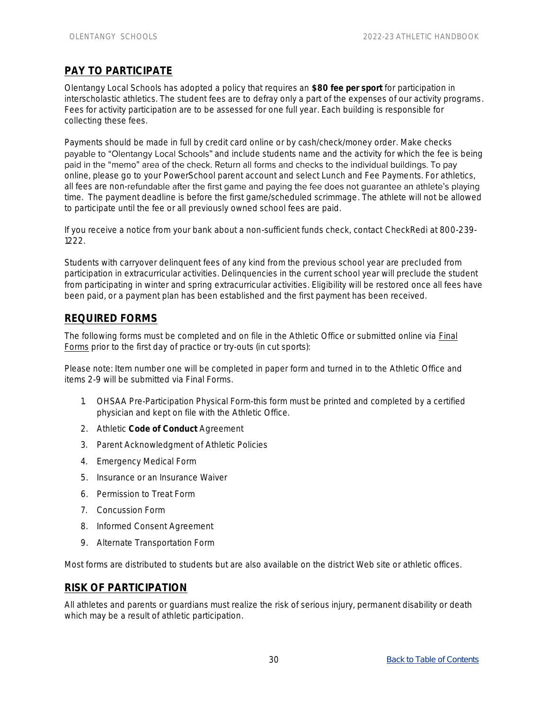# <span id="page-33-0"></span>**PAY TO PARTICIPATE**

Olentangy Local Schools has adopted a policy that requires an **\$80 fee per sport** for participation in interscholastic athletics. The student fees are to defray only a part of the expenses of our activity programs. Fees for activity participation are to be assessed for one full year. Each building is responsible for collecting these fees.

Payments should be made in full by credit card online or by cash/check/money order. Make checks payable to "Olentangy Local Schools" and include students name and the activity for which the fee is being paid in the "memo" area of the check. Return all forms and checks to the individual buildings. To pay online, please go to your PowerSchool parent account and select Lunch and Fee Payments. For athletics, all fees are non-refundable after the first game and paying the fee does not guarantee an athlete's playing time. The payment deadline is before the first game/scheduled scrimmage. The athlete will not be allowed to participate until the fee or all previously owned school fees are paid.

If you receive a notice from your bank about a non-sufficient funds check, contact CheckRedi at 800-239- 1222.

Students with carryover delinquent fees of any kind from the previous school year are precluded from participation in extracurricular activities. Delinquencies in the current school year will preclude the student from participating in winter and spring extracurricular activities. Eligibility will be restored once all fees have been paid, or a payment plan has been established and the first payment has been received.

## <span id="page-33-1"></span>**REQUIRED FORMS**

The following forms must be completed and on file in the Athletic Office or submitted online via Final Forms prior to the first day of practice or try-outs (in cut sports):

Please note: Item number one will be completed in paper form and turned in to the Athletic Office and items 2-9 will be submitted via Final Forms.

- 1. OHSAA Pre-Participation Physical Form-this form must be printed and completed by a certified physician and kept on file with the Athletic Office.
- 2. Athletic **Code of Conduct** Agreement
- 3. Parent Acknowledgment of Athletic Policies
- 4. Emergency Medical Form
- 5. Insurance or an Insurance Waiver
- 6. Permission to Treat Form
- 7. Concussion Form
- 8. Informed Consent Agreement
- 9. Alternate Transportation Form

Most forms are distributed to students but are also available on the district Web site or athletic offices.

## <span id="page-33-2"></span>**RISK OF PARTICIPATION**

All athletes and parents or guardians must realize the risk of serious injury, permanent disability or death which may be a result of athletic participation.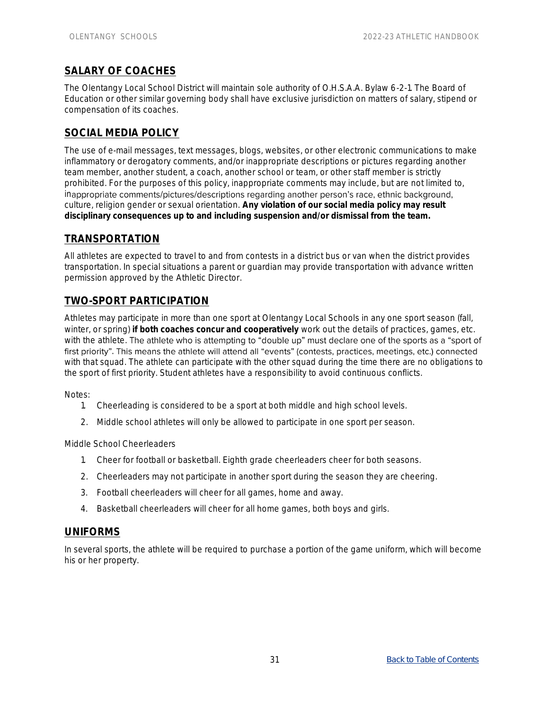# <span id="page-34-0"></span>**SALARY OF COACHES**

The Olentangy Local School District will maintain sole authority of O.H.S.A.A. Bylaw 6-2-1. The Board of Education or other similar governing body shall have exclusive jurisdiction on matters of salary, stipend or compensation of its coaches.

# <span id="page-34-1"></span>**SOCIAL MEDIA POLICY**

The use of e-mail messages, text messages, blogs, websites, or other electronic communications to make inflammatory or derogatory comments, and/or inappropriate descriptions or pictures regarding another team member, another student, a coach, another school or team, or other staff member is strictly prohibited. For the purposes of this policy, inappropriate comments may include, but are not limited to, inappropriate comments/pictures/descriptions regarding another person's race, ethnic background, culture, religion gender or sexual orientation. **Any violation of our social media policy may result disciplinary consequences up to and including suspension and/or dismissal from the team.**

#### <span id="page-34-2"></span>**TRANSPORTATION**

All athletes are expected to travel to and from contests in a district bus or van when the district provides transportation. In special situations a parent or guardian may provide transportation with advance written permission approved by the Athletic Director.

# <span id="page-34-3"></span>**TWO-SPORT PARTICIPATION**

Athletes may participate in more than one sport at Olentangy Local Schools in any one sport season (fall, winter, or spring) **if both coaches concur and cooperatively** work out the details of practices, games, etc. with the athlete. The athlete who is attempting to "double up" must declare one of the sports as a "sport of first priority". This means the athlete will attend all "events" (contests, practices, meetings, etc.) connected with that squad. The athlete can participate with the other squad during the time there are no obligations to the sport of first priority. Student athletes have a responsibility to avoid continuous conflicts.

Notes:

- 1. Cheerleading is considered to be a sport at both middle and high school levels.
- 2. Middle school athletes will only be allowed to participate in one sport per season.

Middle School Cheerleaders

- 1. Cheer for football or basketball. Eighth grade cheerleaders cheer for both seasons.
- 2. Cheerleaders may not participate in another sport during the season they are cheering.
- 3. Football cheerleaders will cheer for all games, home and away.
- 4. Basketball cheerleaders will cheer for all home games, both boys and girls.

#### <span id="page-34-4"></span>**UNIFORMS**

In several sports, the athlete will be required to purchase a portion of the game uniform, which will become his or her property.